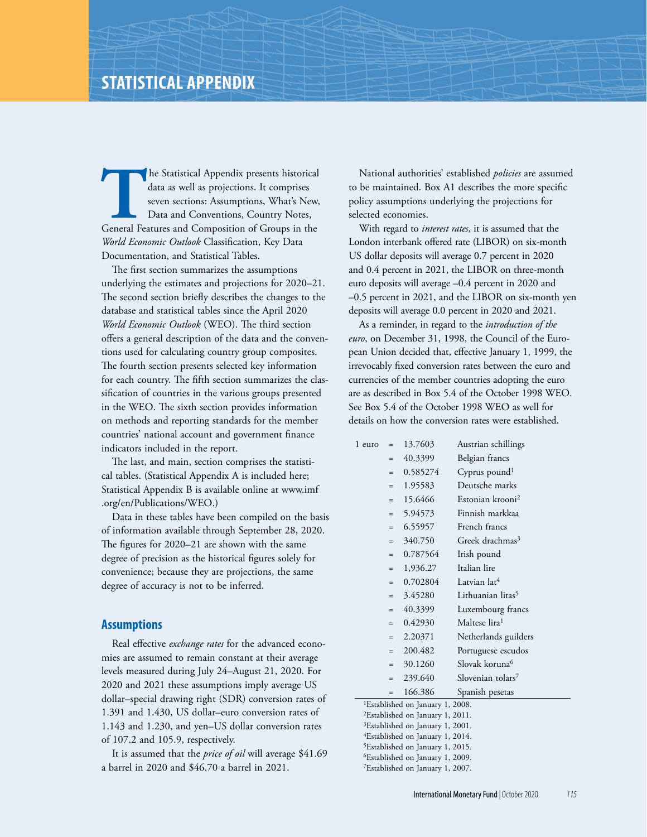**The Statistical Appendix presents historical data as well as projections. It comprises seven sections: Assumptions, What's New, Data and Conventions, Country Notes, General Features and Composition of Groups in the** data as well as projections. It comprises seven sections: Assumptions, What's New, Data and Conventions, Country Notes, *World Economic Outlook* Classification, Key Data Documentation, and Statistical Tables.

The first section summarizes the assumptions underlying the estimates and projections for 2020–21. The second section briefly describes the changes to the database and statistical tables since the April 2020 *World Economic Outlook* (WEO). The third section offers a general description of the data and the conventions used for calculating country group composites. The fourth section presents selected key information for each country. The fifth section summarizes the classification of countries in the various groups presented in the WEO. The sixth section provides information on methods and reporting standards for the member countries' national account and government finance indicators included in the report.

The last, and main, section comprises the statistical tables. (Statistical Appendix A is included here; Statistical Appendix B is available online at www.imf .org/en/Publications/WEO.)

Data in these tables have been compiled on the basis of information available through September 28, 2020. The figures for 2020–21 are shown with the same degree of precision as the historical figures solely for convenience; because they are projections, the same degree of accuracy is not to be inferred.

### **Assumptions**

Real effective *exchange rates* for the advanced economies are assumed to remain constant at their average levels measured during July 24–August 21, 2020. For 2020 and 2021 these assumptions imply average US dollar–special drawing right (SDR) conversion rates of 1.391 and 1.430, US dollar–euro conversion rates of 1.143 and 1.230, and yen–US dollar conversion rates of 107.2 and 105.9, respectively.

It is assumed that the *price of oil* will average \$41.69 a barrel in 2020 and \$46.70 a barrel in 2021.

National authorities' established *policies* are assumed to be maintained. Box A1 describes the more specific policy assumptions underlying the projections for selected economies.

With regard to *interest rates*, it is assumed that the London interbank offered rate (LIBOR) on six-month US dollar deposits will average 0.7 percent in 2020 and 0.4 percent in 2021, the LIBOR on three-month euro deposits will average –0.4 percent in 2020 and –0.5 percent in 2021, and the LIBOR on six-month yen deposits will average 0.0 percent in 2020 and 2021.

As a reminder, in regard to the *introduction of the euro*, on December 31, 1998, the Council of the European Union decided that, effective January 1, 1999, the irrevocably fixed conversion rates between the euro and currencies of the member countries adopting the euro are as described in Box 5.4 of the October 1998 WEO. See Box 5.4 of the October 1998 WEO as well for details on how the conversion rates were established.

| 1 euro                                       | $=$                                          | 13.7603  | Austrian schillings           |  |  |  |  |
|----------------------------------------------|----------------------------------------------|----------|-------------------------------|--|--|--|--|
|                                              | $=$                                          | 40.3399  | Belgian francs                |  |  |  |  |
|                                              | $=$                                          | 0.585274 | Cyprus pound <sup>1</sup>     |  |  |  |  |
|                                              | $=$                                          | 1.95583  | Deutsche marks                |  |  |  |  |
|                                              | $=$                                          | 15.6466  | Estonian krooni <sup>2</sup>  |  |  |  |  |
|                                              | $=$                                          | 5.94573  | Finnish markkaa               |  |  |  |  |
|                                              | $=$                                          | 6.55957  | French francs                 |  |  |  |  |
|                                              | $=$                                          | 340.750  | Greek drachmas <sup>3</sup>   |  |  |  |  |
|                                              | $=$                                          | 0.787564 | Irish pound                   |  |  |  |  |
|                                              | $=$                                          | 1,936.27 | Italian lire                  |  |  |  |  |
|                                              | $=$                                          | 0.702804 | Latvian lat <sup>4</sup>      |  |  |  |  |
|                                              | $=$                                          | 3.45280  | Lithuanian litas <sup>5</sup> |  |  |  |  |
|                                              | $=$                                          | 40.3399  | Luxembourg francs             |  |  |  |  |
|                                              | $=$                                          | 0.42930  | Maltese lira <sup>1</sup>     |  |  |  |  |
|                                              | $=$                                          | 2.20371  | Netherlands guilders          |  |  |  |  |
|                                              | $=$                                          | 200.482  | Portuguese escudos            |  |  |  |  |
|                                              | $=$                                          | 30.1260  | Slovak koruna <sup>6</sup>    |  |  |  |  |
|                                              | $=$                                          | 239.640  | Slovenian tolars <sup>7</sup> |  |  |  |  |
|                                              | $=$                                          | 166.386  | Spanish pesetas               |  |  |  |  |
|                                              | <sup>1</sup> Established on January 1, 2008. |          |                               |  |  |  |  |
| <sup>2</sup> Established on January 1, 2011. |                                              |          |                               |  |  |  |  |
| <sup>3</sup> Established on January 1, 2001. |                                              |          |                               |  |  |  |  |

4Established on January 1, 2014.

5Established on January 1, 2015.

6Established on January 1, 2009.

7Established on January 1, 2007.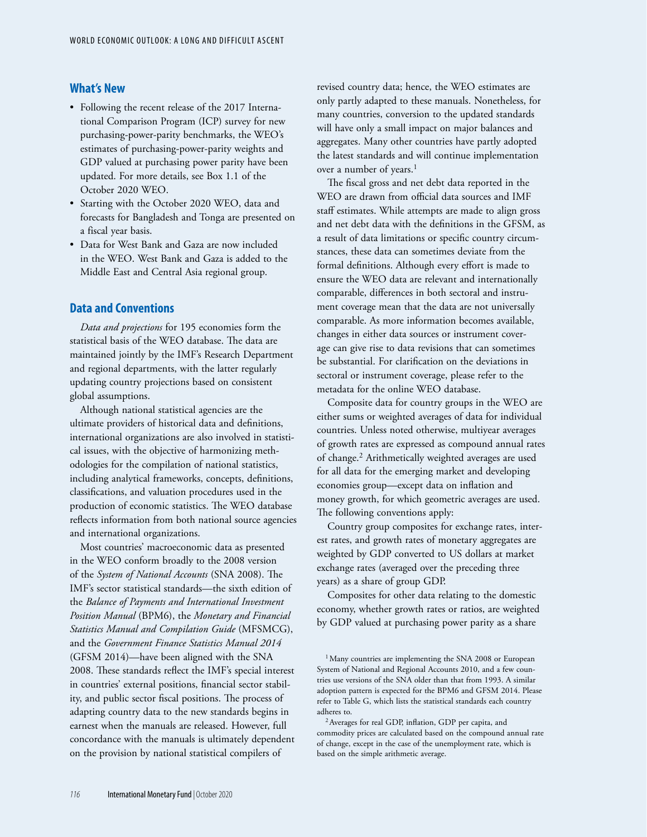## **What's New**

- Following the recent release of the 2017 International Comparison Program (ICP) survey for new purchasing-power-parity benchmarks, the WEO's estimates of purchasing-power-parity weights and GDP valued at purchasing power parity have been updated. For more details, see Box 1.1 of the October 2020 WEO.
- Starting with the October 2020 WEO, data and forecasts for Bangladesh and Tonga are presented on a fiscal year basis.
- Data for West Bank and Gaza are now included in the WEO. West Bank and Gaza is added to the Middle East and Central Asia regional group.

## **Data and Conventions**

*Data and projections* for 195 economies form the statistical basis of the WEO database. The data are maintained jointly by the IMF's Research Department and regional departments, with the latter regularly updating country projections based on consistent global assumptions.

Although national statistical agencies are the ultimate providers of historical data and definitions, international organizations are also involved in statistical issues, with the objective of harmonizing methodologies for the compilation of national statistics, including analytical frameworks, concepts, definitions, classifications, and valuation procedures used in the production of economic statistics. The WEO database reflects information from both national source agencies and international organizations.

Most countries' macroeconomic data as presented in the WEO conform broadly to the 2008 version of the *System of National Accounts* (SNA 2008). The IMF's sector statistical standards—the sixth edition of the *Balance of Payments and International Investment Position Manual* (BPM6), the *Monetary and Financial Statistics Manual and Compilation Guide* (MFSMCG), and the *Government Finance Statistics Manual 2014* (GFSM 2014)—have been aligned with the SNA 2008. These standards reflect the IMF's special interest in countries' external positions, financial sector stability, and public sector fiscal positions. The process of adapting country data to the new standards begins in earnest when the manuals are released. However, full concordance with the manuals is ultimately dependent on the provision by national statistical compilers of

revised country data; hence, the WEO estimates are only partly adapted to these manuals. Nonetheless, for many countries, conversion to the updated standards will have only a small impact on major balances and aggregates. Many other countries have partly adopted the latest standards and will continue implementation over a number of years.<sup>1</sup>

The fiscal gross and net debt data reported in the WEO are drawn from official data sources and IMF staff estimates. While attempts are made to align gross and net debt data with the definitions in the GFSM, as a result of data limitations or specific country circumstances, these data can sometimes deviate from the formal definitions. Although every effort is made to ensure the WEO data are relevant and internationally comparable, differences in both sectoral and instrument coverage mean that the data are not universally comparable. As more information becomes available, changes in either data sources or instrument coverage can give rise to data revisions that can sometimes be substantial. For clarification on the deviations in sectoral or instrument coverage, please refer to the metadata for the online WEO database.

Composite data for country groups in the WEO are either sums or weighted averages of data for individual countries. Unless noted otherwise, multiyear averages of growth rates are expressed as compound annual rates of change.2 Arithmetically weighted averages are used for all data for the emerging market and developing economies group—except data on inflation and money growth, for which geometric averages are used. The following conventions apply:

Country group composites for exchange rates, interest rates, and growth rates of monetary aggregates are weighted by GDP converted to US dollars at market exchange rates (averaged over the preceding three years) as a share of group GDP.

Composites for other data relating to the domestic economy, whether growth rates or ratios, are weighted by GDP valued at purchasing power parity as a share

<sup>&</sup>lt;sup>1</sup> Many countries are implementing the SNA 2008 or European System of National and Regional Accounts 2010, and a few countries use versions of the SNA older than that from 1993. A similar adoption pattern is expected for the BPM6 and GFSM 2014. Please refer to Table G, which lists the statistical standards each country adheres to.

<sup>2</sup>Averages for real GDP, inflation, GDP per capita, and commodity prices are calculated based on the compound annual rate of change, except in the case of the unemployment rate, which is based on the simple arithmetic average.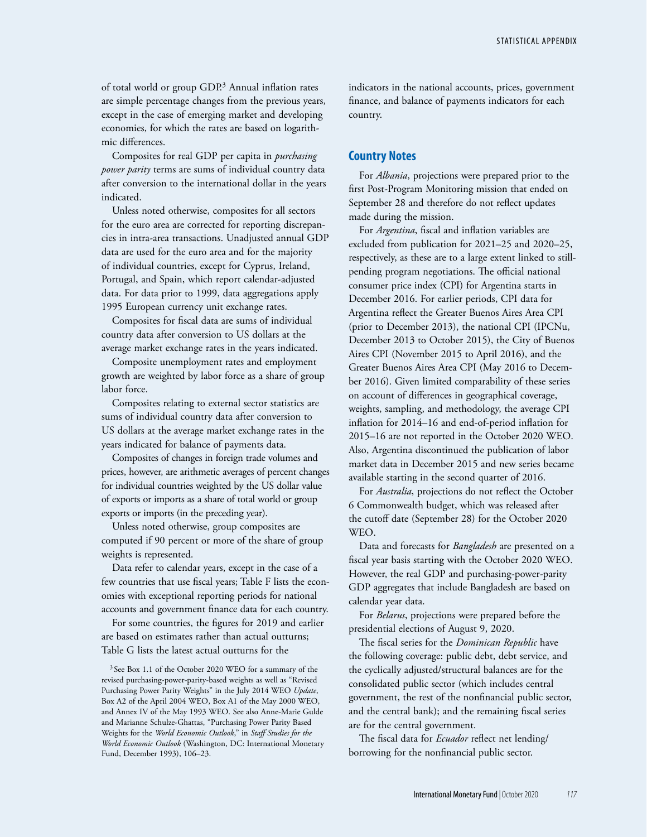of total world or group GDP.3 Annual inflation rates are simple percentage changes from the previous years, except in the case of emerging market and developing economies, for which the rates are based on logarithmic differences.

Composites for real GDP per capita in *purchasing power parity* terms are sums of individual country data after conversion to the international dollar in the years indicated.

Unless noted otherwise, composites for all sectors for the euro area are corrected for reporting discrepancies in intra-area transactions. Unadjusted annual GDP data are used for the euro area and for the majority of individual countries, except for Cyprus, Ireland, Portugal, and Spain, which report calendar-adjusted data. For data prior to 1999, data aggregations apply 1995 European currency unit exchange rates.

Composites for fiscal data are sums of individual country data after conversion to US dollars at the average market exchange rates in the years indicated.

Composite unemployment rates and employment growth are weighted by labor force as a share of group labor force.

Composites relating to external sector statistics are sums of individual country data after conversion to US dollars at the average market exchange rates in the years indicated for balance of payments data.

Composites of changes in foreign trade volumes and prices, however, are arithmetic averages of percent changes for individual countries weighted by the US dollar value of exports or imports as a share of total world or group exports or imports (in the preceding year).

Unless noted otherwise, group composites are computed if 90 percent or more of the share of group weights is represented.

Data refer to calendar years, except in the case of a few countries that use fiscal years; Table F lists the economies with exceptional reporting periods for national accounts and government finance data for each country.

For some countries, the figures for 2019 and earlier are based on estimates rather than actual outturns; Table G lists the latest actual outturns for the

<sup>3</sup> See Box 1.1 of the October 2020 WEO for a summary of the revised purchasing-power-parity-based weights as well as "Revised Purchasing Power Parity Weights" in the July 2014 WEO *Update*, Box A2 of the April 2004 WEO, Box A1 of the May 2000 WEO, and Annex IV of the May 1993 WEO. See also Anne-Marie Gulde and Marianne Schulze-Ghattas, "Purchasing Power Parity Based Weights for the *World Economic Outlook*," in *Staff Studies for the World Economic Outlook* (Washington, DC: International Monetary Fund, December 1993), 106–23.

indicators in the national accounts, prices, government finance, and balance of payments indicators for each country.

### **Country Notes**

For *Albania*, projections were prepared prior to the first Post-Program Monitoring mission that ended on September 28 and therefore do not reflect updates made during the mission.

For *Argentina*, fiscal and inflation variables are excluded from publication for 2021–25 and 2020–25, respectively, as these are to a large extent linked to stillpending program negotiations. The official national consumer price index (CPI) for Argentina starts in December 2016. For earlier periods, CPI data for Argentina reflect the Greater Buenos Aires Area CPI (prior to December 2013), the national CPI (IPCNu, December 2013 to October 2015), the City of Buenos Aires CPI (November 2015 to April 2016), and the Greater Buenos Aires Area CPI (May 2016 to December 2016). Given limited comparability of these series on account of differences in geographical coverage, weights, sampling, and methodology, the average CPI inflation for 2014–16 and end-of-period inflation for 2015–16 are not reported in the October 2020 WEO. Also, Argentina discontinued the publication of labor market data in December 2015 and new series became available starting in the second quarter of 2016.

For *Australia*, projections do not reflect the October 6 Commonwealth budget, which was released after the cutoff date (September 28) for the October 2020 WEO.

Data and forecasts for *Bangladesh* are presented on a fiscal year basis starting with the October 2020 WEO. However, the real GDP and purchasing-power-parity GDP aggregates that include Bangladesh are based on calendar year data.

For *Belarus*, projections were prepared before the presidential elections of August 9, 2020.

The fiscal series for the *Dominican Republic* have the following coverage: public debt, debt service, and the cyclically adjusted/structural balances are for the consolidated public sector (which includes central government, the rest of the nonfinancial public sector, and the central bank); and the remaining fiscal series are for the central government.

The fiscal data for *Ecuador* reflect net lending/ borrowing for the nonfinancial public sector.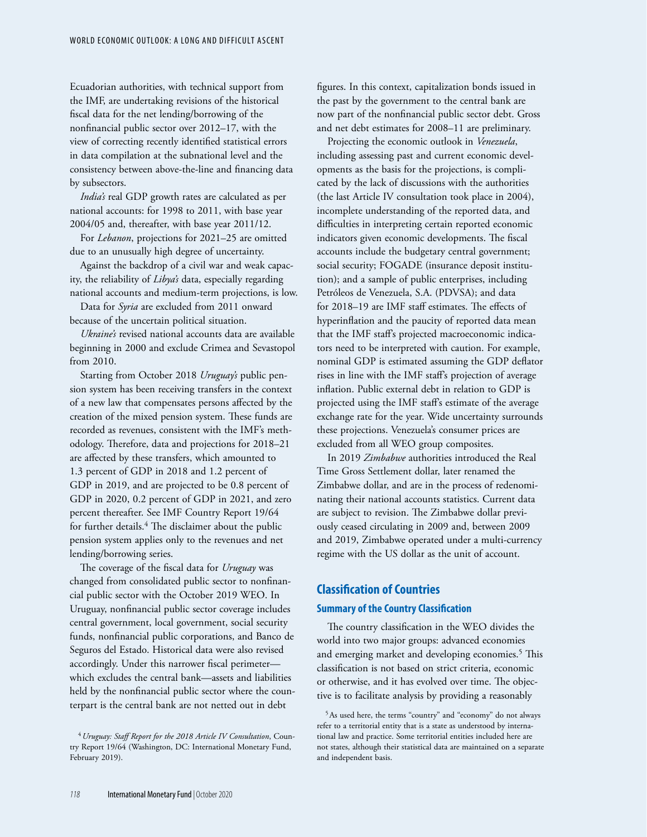Ecuadorian authorities, with technical support from the IMF, are undertaking revisions of the historical fiscal data for the net lending/borrowing of the nonfinancial public sector over 2012–17, with the view of correcting recently identified statistical errors in data compilation at the subnational level and the consistency between above-the-line and financing data by subsectors.

*India's* real GDP growth rates are calculated as per national accounts: for 1998 to 2011, with base year 2004/05 and, thereafter, with base year 2011/12.

For *Lebanon*, projections for 2021–25 are omitted due to an unusually high degree of uncertainty.

Against the backdrop of a civil war and weak capacity, the reliability of *Libya's* data, especially regarding national accounts and medium-term projections, is low.

Data for *Syria* are excluded from 2011 onward because of the uncertain political situation.

*Ukraine's* revised national accounts data are available beginning in 2000 and exclude Crimea and Sevastopol from 2010.

Starting from October 2018 *Uruguay's* public pension system has been receiving transfers in the context of a new law that compensates persons affected by the creation of the mixed pension system. These funds are recorded as revenues, consistent with the IMF's methodology. Therefore, data and projections for 2018–21 are affected by these transfers, which amounted to 1.3 percent of GDP in 2018 and 1.2 percent of GDP in 2019, and are projected to be 0.8 percent of GDP in 2020, 0.2 percent of GDP in 2021, and zero percent thereafter. See IMF Country Report 19/64 for further details.<sup>4</sup> The disclaimer about the public pension system applies only to the revenues and net lending/borrowing series.

The coverage of the fiscal data for *Uruguay* was changed from consolidated public sector to nonfinancial public sector with the October 2019 WEO. In Uruguay, nonfinancial public sector coverage includes central government, local government, social security funds, nonfinancial public corporations, and Banco de Seguros del Estado. Historical data were also revised accordingly. Under this narrower fiscal perimeter which excludes the central bank—assets and liabilities held by the nonfinancial public sector where the counterpart is the central bank are not netted out in debt

figures. In this context, capitalization bonds issued in the past by the government to the central bank are now part of the nonfinancial public sector debt. Gross and net debt estimates for 2008–11 are preliminary.

Projecting the economic outlook in *Venezuela*, including assessing past and current economic developments as the basis for the projections, is complicated by the lack of discussions with the authorities (the last Article IV consultation took place in 2004), incomplete understanding of the reported data, and difficulties in interpreting certain reported economic indicators given economic developments. The fiscal accounts include the budgetary central government; social security; FOGADE (insurance deposit institution); and a sample of public enterprises, including Petróleos de Venezuela, S.A. (PDVSA); and data for 2018–19 are IMF staff estimates. The effects of hyperinflation and the paucity of reported data mean that the IMF staff's projected macroeconomic indicators need to be interpreted with caution. For example, nominal GDP is estimated assuming the GDP deflator rises in line with the IMF staff's projection of average inflation. Public external debt in relation to GDP is projected using the IMF staff's estimate of the average exchange rate for the year. Wide uncertainty surrounds these projections. Venezuela's consumer prices are excluded from all WEO group composites.

In 2019 *Zimbabwe* authorities introduced the Real Time Gross Settlement dollar, later renamed the Zimbabwe dollar, and are in the process of redenominating their national accounts statistics. Current data are subject to revision. The Zimbabwe dollar previously ceased circulating in 2009 and, between 2009 and 2019, Zimbabwe operated under a multi-currency regime with the US dollar as the unit of account.

# **Classification of Countries Summary of the Country Classification**

The country classification in the WEO divides the world into two major groups: advanced economies and emerging market and developing economies.<sup>5</sup> This classification is not based on strict criteria, economic or otherwise, and it has evolved over time. The objective is to facilitate analysis by providing a reasonably

5As used here, the terms "country" and "economy" do not always refer to a territorial entity that is a state as understood by international law and practice. Some territorial entities included here are not states, although their statistical data are maintained on a separate and independent basis.

<sup>4</sup>*Uruguay: Staff Report for the 2018 Article IV Consultation*, Country Report 19/64 (Washington, DC: International Monetary Fund, February 2019).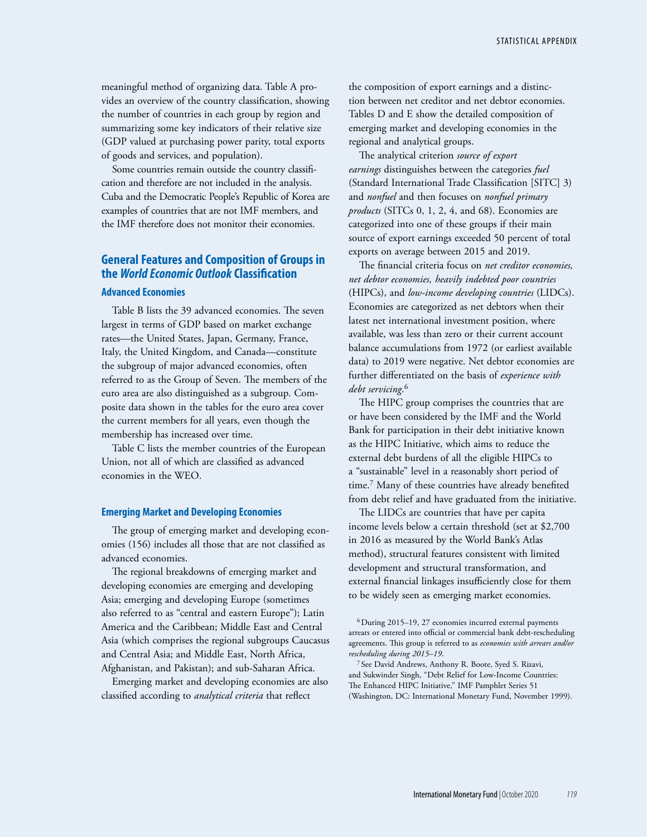meaningful method of organizing data. Table A provides an overview of the country classification, showing the number of countries in each group by region and summarizing some key indicators of their relative size (GDP valued at purchasing power parity, total exports of goods and services, and population).

Some countries remain outside the country classification and therefore are not included in the analysis. Cuba and the Democratic People's Republic of Korea are examples of countries that are not IMF members, and the IMF therefore does not monitor their economies.

# **General Features and Composition of Groups in the** *World Economic Outlook* **Classification**

#### **Advanced Economies**

Table B lists the 39 advanced economies. The seven largest in terms of GDP based on market exchange rates—the United States, Japan, Germany, France, Italy, the United Kingdom, and Canada—constitute the subgroup of major advanced economies, often referred to as the Group of Seven. The members of the euro area are also distinguished as a subgroup. Composite data shown in the tables for the euro area cover the current members for all years, even though the membership has increased over time.

Table C lists the member countries of the European Union, not all of which are classified as advanced economies in the WEO.

#### **Emerging Market and Developing Economies**

The group of emerging market and developing economies (156) includes all those that are not classified as advanced economies.

The regional breakdowns of emerging market and developing economies are emerging and developing Asia; emerging and developing Europe (sometimes also referred to as "central and eastern Europe"); Latin America and the Caribbean; Middle East and Central Asia (which comprises the regional subgroups Caucasus and Central Asia; and Middle East, North Africa, Afghanistan, and Pakistan); and sub-Saharan Africa.

Emerging market and developing economies are also classified according to *analytical criteria* that reflect

the composition of export earnings and a distinction between net creditor and net debtor economies. Tables D and E show the detailed composition of emerging market and developing economies in the regional and analytical groups.

The analytical criterion *source of export earnings* distinguishes between the categories *fuel* (Standard International Trade Classification [SITC] 3) and *nonfuel* and then focuses on *nonfuel primary products* (SITCs 0, 1, 2, 4, and 68). Economies are categorized into one of these groups if their main source of export earnings exceeded 50 percent of total exports on average between 2015 and 2019.

The financial criteria focus on *net creditor economies, net debtor economies, heavily indebted poor countries* (HIPCs), and *low-income developing countries* (LIDCs). Economies are categorized as net debtors when their latest net international investment position, where available, was less than zero or their current account balance accumulations from 1972 (or earliest available data) to 2019 were negative. Net debtor economies are further differentiated on the basis of *experience with debt servicing*. 6

The HIPC group comprises the countries that are or have been considered by the IMF and the World Bank for participation in their debt initiative known as the HIPC Initiative, which aims to reduce the external debt burdens of all the eligible HIPCs to a "sustainable" level in a reasonably short period of time.7 Many of these countries have already benefited from debt relief and have graduated from the initiative.

The LIDCs are countries that have per capita income levels below a certain threshold (set at \$2,700 in 2016 as measured by the World Bank's Atlas method), structural features consistent with limited development and structural transformation, and external financial linkages insufficiently close for them to be widely seen as emerging market economies.

<sup>6</sup>During 2015–19, 27 economies incurred external payments arrears or entered into official or commercial bank debt-rescheduling agreements. This group is referred to as *economies with arrears and/or rescheduling during 2015–19*.

<sup>7</sup> See David Andrews, Anthony R. Boote, Syed S. Rizavi, and Sukwinder Singh, "Debt Relief for Low-Income Countries: The Enhanced HIPC Initiative," IMF Pamphlet Series 51 (Washington, DC: International Monetary Fund, November 1999).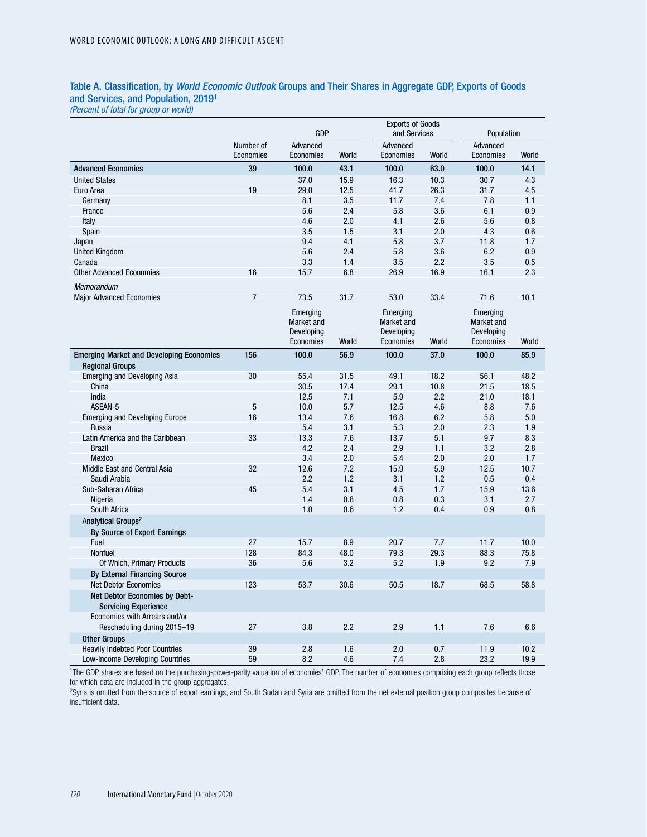### Table A. Classification, by *World Economic Outlook* Groups and Their Shares in Aggregate GDP, Exports of Goods and Services, and Population, 20191

*(Percent of total for group or world)*

|                                                              |                        | GDP                                               |       | <b>Exports of Goods</b><br>and Services           |       | Population                                        |       |  |
|--------------------------------------------------------------|------------------------|---------------------------------------------------|-------|---------------------------------------------------|-------|---------------------------------------------------|-------|--|
|                                                              | Number of<br>Economies | Advanced<br>Economies                             | World | Advanced<br>Economies                             | World | Advanced<br>Economies                             | World |  |
| <b>Advanced Economies</b>                                    | 39                     | 100.0                                             | 43.1  | 100.0                                             | 63.0  | 100.0                                             | 14.1  |  |
| <b>United States</b>                                         |                        | 37.0                                              | 15.9  | 16.3                                              | 10.3  | 30.7                                              | 4.3   |  |
| Euro Area                                                    | 19                     | 29.0                                              | 12.5  | 41.7                                              | 26.3  | 31.7                                              | 4.5   |  |
| Germany                                                      |                        | 8.1                                               | 3.5   | 11.7                                              | 7.4   | 7.8                                               | 1.1   |  |
| France                                                       |                        | 5.6                                               | 2.4   | 5.8                                               | 3.6   | 6.1                                               | 0.9   |  |
| Italy                                                        |                        | 4.6                                               | 2.0   | 4.1                                               | 2.6   | 5.6                                               | 0.8   |  |
| Spain                                                        |                        | 3.5                                               | 1.5   | 3.1                                               | 2.0   | 4.3                                               | 0.6   |  |
| Japan                                                        |                        | 9.4                                               | 4.1   | 5.8                                               | 3.7   | 11.8                                              | 1.7   |  |
| <b>United Kingdom</b>                                        |                        | 5.6                                               | 2.4   | 5.8                                               | 3.6   | 6.2                                               | 0.9   |  |
| Canada                                                       |                        | 3.3                                               | 1.4   | 3.5                                               | 2.2   | 3.5                                               | 0.5   |  |
| <b>Other Advanced Economies</b>                              | 16                     | 15.7                                              | 6.8   | 26.9                                              | 16.9  | 16.1                                              | 2.3   |  |
| Memorandum                                                   |                        |                                                   |       |                                                   |       |                                                   |       |  |
| <b>Major Advanced Economies</b>                              | $\overline{7}$         | 73.5                                              | 31.7  | 53.0                                              | 33.4  | 71.6                                              | 10.1  |  |
|                                                              |                        | Emerging<br>Market and<br>Developing<br>Economies | World | Emerging<br>Market and<br>Developing<br>Economies | World | Emerging<br>Market and<br>Developing<br>Economies | World |  |
| <b>Emerging Market and Developing Economies</b>              | 156                    | 100.0                                             | 56.9  | 100.0                                             | 37.0  | 100.0                                             | 85.9  |  |
| <b>Regional Groups</b>                                       |                        |                                                   |       |                                                   |       |                                                   |       |  |
| <b>Emerging and Developing Asia</b>                          | 30                     | 55.4                                              | 31.5  | 49.1                                              | 18.2  | 56.1                                              | 48.2  |  |
| China                                                        |                        | 30.5                                              | 17.4  | 29.1                                              | 10.8  | 21.5                                              | 18.5  |  |
| India                                                        |                        | 12.5                                              | 7.1   | 5.9                                               | 2.2   | 21.0                                              | 18.1  |  |
| ASEAN-5                                                      | $\sqrt{5}$             | 10.0                                              | 5.7   | 12.5                                              | 4.6   | 8.8                                               | 7.6   |  |
| <b>Emerging and Developing Europe</b>                        | 16                     | 13.4                                              | 7.6   | 16.8                                              | 6.2   | 5.8                                               | 5.0   |  |
| Russia                                                       |                        | 5.4                                               | 3.1   | 5.3                                               | 2.0   | 2.3                                               | 1.9   |  |
| Latin America and the Caribbean                              | 33                     | 13.3                                              | 7.6   | 13.7                                              | 5.1   | 9.7                                               | 8.3   |  |
| <b>Brazil</b>                                                |                        | 4.2                                               | 2.4   | 2.9                                               | 1.1   | 3.2                                               | 2.8   |  |
| <b>Mexico</b>                                                |                        | 3.4                                               | 2.0   | 5.4                                               | 2.0   | 2.0                                               | 1.7   |  |
| Middle East and Central Asia                                 | 32                     | 12.6                                              | 7.2   | 15.9                                              | 5.9   | 12.5                                              | 10.7  |  |
| Saudi Arabia                                                 |                        | 2.2                                               | 1.2   | 3.1                                               | 1.2   | 0.5                                               | 0.4   |  |
| Sub-Saharan Africa                                           | 45                     | 5.4                                               | 3.1   | 4.5                                               | 1.7   | 15.9                                              | 13.6  |  |
| Nigeria                                                      |                        | 1.4                                               | 0.8   | 0.8                                               | 0.3   | 3.1                                               | 2.7   |  |
| South Africa                                                 |                        | 1.0                                               | 0.6   | 1.2                                               | 0.4   | 0.9                                               | 0.8   |  |
| Analytical Groups <sup>2</sup>                               |                        |                                                   |       |                                                   |       |                                                   |       |  |
| By Source of Export Earnings                                 |                        |                                                   |       |                                                   |       |                                                   |       |  |
| Fuel                                                         | 27                     | 15.7                                              | 8.9   | 20.7                                              | 7.7   | 11.7                                              | 10.0  |  |
| Nonfuel                                                      | 128                    | 84.3                                              | 48.0  | 79.3                                              | 29.3  | 88.3                                              | 75.8  |  |
| Of Which, Primary Products                                   | 36                     | 5.6                                               | 3.2   | 5.2                                               | 1.9   | 9.2                                               | 7.9   |  |
| <b>By External Financing Source</b>                          |                        |                                                   |       |                                                   |       |                                                   |       |  |
| <b>Net Debtor Economies</b>                                  | 123                    | 53.7                                              | 30.6  | 50.5                                              | 18.7  | 68.5                                              | 58.8  |  |
| Net Debtor Economies by Debt-<br><b>Servicing Experience</b> |                        |                                                   |       |                                                   |       |                                                   |       |  |
| Economies with Arrears and/or                                |                        |                                                   |       |                                                   |       |                                                   |       |  |
| Rescheduling during 2015-19                                  | 27                     | 3.8                                               | 2.2   | 2.9                                               | 1.1   | 7.6                                               | 6.6   |  |
| <b>Other Groups</b>                                          |                        |                                                   |       |                                                   |       |                                                   |       |  |
| <b>Heavily Indebted Poor Countries</b>                       | 39                     | 2.8                                               | 1.6   | 2.0                                               | 0.7   | 11.9                                              | 10.2  |  |
| Low-Income Developing Countries                              | 59                     | 8.2                                               | 4.6   | 7.4                                               | 2.8   | 23.2                                              | 19.9  |  |

1The GDP shares are based on the purchasing-power-parity valuation of economies' GDP. The number of economies comprising each group reflects those for which data are included in the group aggregates.

2Syria is omitted from the source of export earnings, and South Sudan and Syria are omitted from the net external position group composites because of insufficient data.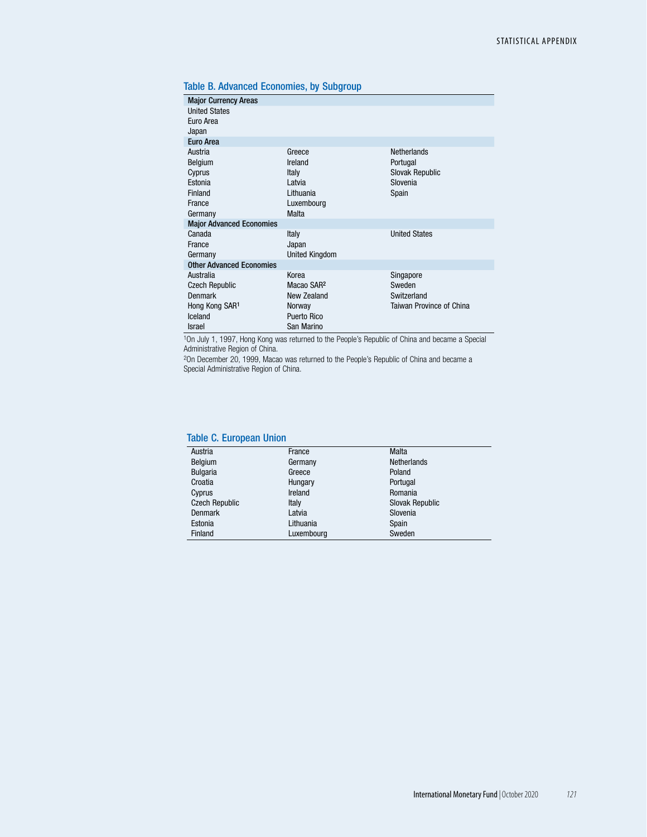|  |  |  | Table B. Advanced Economies, by Subgroup |
|--|--|--|------------------------------------------|
|--|--|--|------------------------------------------|

|                       | <b>Netherlands</b>                                                       |
|-----------------------|--------------------------------------------------------------------------|
| Ireland               | Portugal                                                                 |
| Italy                 | <b>Slovak Republic</b>                                                   |
| I atvia               | Slovenia                                                                 |
| Lithuania             | Spain                                                                    |
| Luxembourg            |                                                                          |
|                       |                                                                          |
|                       |                                                                          |
| Italy                 | <b>United States</b>                                                     |
|                       |                                                                          |
| <b>United Kingdom</b> |                                                                          |
|                       |                                                                          |
| Korea                 | Singapore                                                                |
|                       | Sweden                                                                   |
|                       | Switzerland                                                              |
| Norway                | Taiwan Province of China                                                 |
| <b>Puerto Rico</b>    |                                                                          |
| San Marino            |                                                                          |
|                       | Greece<br>Malta<br>Japan<br>Macao SAR <sup>2</sup><br><b>New Zealand</b> |

1On July 1, 1997, Hong Kong was returned to the People's Republic of China and became a Special Administrative Region of China.

2On December 20, 1999, Macao was returned to the People's Republic of China and became a Special Administrative Region of China.

### Table C. European Union

| Austria               | France     | Malta              |
|-----------------------|------------|--------------------|
| Belgium               | Germany    | <b>Netherlands</b> |
| <b>Bulgaria</b>       | Greece     | Poland             |
| Croatia               | Hungary    | Portugal           |
| Cyprus                | Ireland    | Romania            |
| <b>Czech Republic</b> | Italy      | Slovak Republic    |
| <b>Denmark</b>        | Latvia     | Slovenia           |
| Estonia               | Lithuania  | Spain              |
| Finland               | Luxembourg | Sweden             |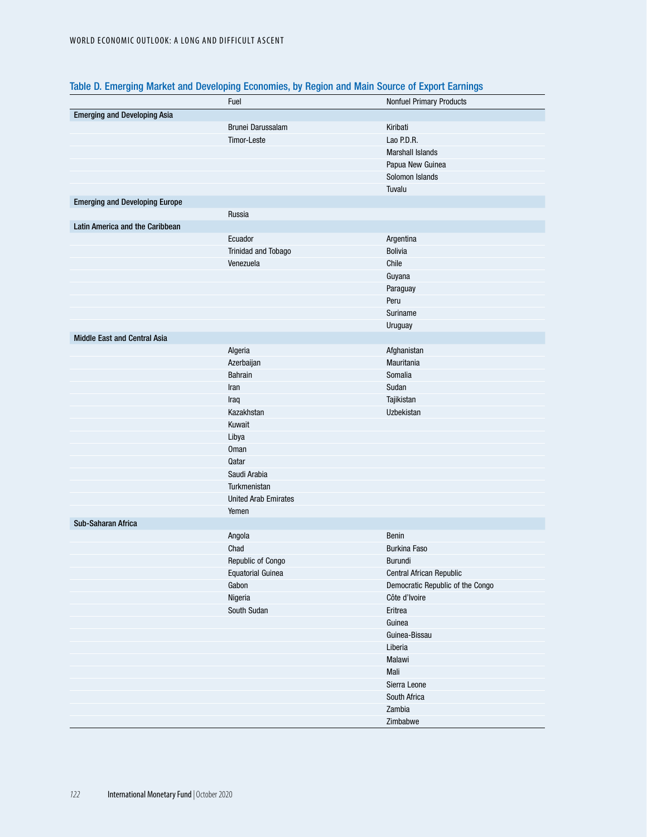|                                       | Fuel                        | Nonfuel Primary Products         |
|---------------------------------------|-----------------------------|----------------------------------|
| <b>Emerging and Developing Asia</b>   |                             |                                  |
|                                       | Brunei Darussalam           | Kiribati                         |
|                                       | Timor-Leste                 | Lao P.D.R.                       |
|                                       |                             | <b>Marshall Islands</b>          |
|                                       |                             | Papua New Guinea                 |
|                                       |                             | Solomon Islands                  |
|                                       |                             | Tuvalu                           |
| <b>Emerging and Developing Europe</b> |                             |                                  |
|                                       | Russia                      |                                  |
| Latin America and the Caribbean       |                             |                                  |
|                                       | Ecuador                     | Argentina                        |
|                                       | Trinidad and Tobago         | <b>Bolivia</b>                   |
|                                       | Venezuela                   | Chile                            |
|                                       |                             | Guyana                           |
|                                       |                             | Paraguay                         |
|                                       |                             | Peru                             |
|                                       |                             | Suriname                         |
|                                       |                             | Uruguay                          |
| Middle East and Central Asia          |                             |                                  |
|                                       | Algeria                     | Afghanistan                      |
|                                       | Azerbaijan                  | Mauritania                       |
|                                       | <b>Bahrain</b>              | Somalia                          |
|                                       | Iran                        | Sudan                            |
|                                       | Iraq                        | Tajikistan                       |
|                                       | Kazakhstan                  | Uzbekistan                       |
|                                       | Kuwait                      |                                  |
|                                       | Libya                       |                                  |
|                                       | <b>Oman</b>                 |                                  |
|                                       | Qatar                       |                                  |
|                                       | Saudi Arabia                |                                  |
|                                       | Turkmenistan                |                                  |
|                                       | <b>United Arab Emirates</b> |                                  |
|                                       | Yemen                       |                                  |
| Sub-Saharan Africa                    |                             |                                  |
|                                       | Angola                      | Benin                            |
|                                       | Chad                        | <b>Burkina Faso</b>              |
|                                       | Republic of Congo           | Burundi                          |
|                                       | <b>Equatorial Guinea</b>    | Central African Republic         |
|                                       | Gabon                       | Democratic Republic of the Congo |
|                                       | Nigeria                     | Côte d'Ivoire                    |
|                                       | South Sudan                 | Eritrea                          |
|                                       |                             | Guinea                           |
|                                       |                             | Guinea-Bissau                    |
|                                       |                             | Liberia                          |
|                                       |                             | Malawi                           |
|                                       |                             | Mali                             |
|                                       |                             | Sierra Leone                     |
|                                       |                             | South Africa                     |
|                                       |                             | Zambia                           |
|                                       |                             | Zimbabwe                         |
|                                       |                             |                                  |

# Table D. Emerging Market and Developing Economies, by Region and Main Source of Export Earnings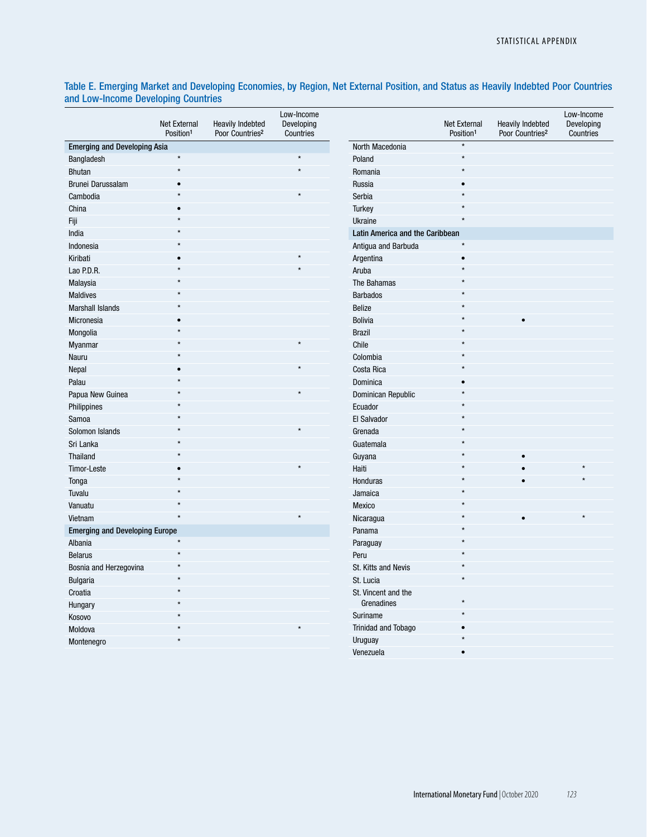## Table E. Emerging Market and Developing Economies, by Region, Net External Position, and Status as Heavily Indebted Poor Countries and Low-Income Developing Countries

|                                       | <b>Net External</b><br>Position <sup>1</sup> | <b>Heavily Indebted</b><br>Poor Countries <sup>2</sup> | Low-Income<br>Developing<br>Countries |                                 | Net External<br>Position <sup>1</sup> | <b>Heavily Indebted</b><br>Poor Countries <sup>2</sup> | Low-Income<br>Developing<br>Countries |
|---------------------------------------|----------------------------------------------|--------------------------------------------------------|---------------------------------------|---------------------------------|---------------------------------------|--------------------------------------------------------|---------------------------------------|
| <b>Emerging and Developing Asia</b>   |                                              |                                                        |                                       | North Macedonia                 |                                       |                                                        |                                       |
| Bangladesh                            | $\star$                                      |                                                        | $\star$                               | Poland                          | ÷                                     |                                                        |                                       |
| <b>Bhutan</b>                         | $\star$                                      |                                                        | $\star$                               | Romania                         | $\star$                               |                                                        |                                       |
| Brunei Darussalam                     | $\bullet$                                    |                                                        |                                       | Russia                          |                                       |                                                        |                                       |
| Cambodia                              | $\star$                                      |                                                        | $\star$                               | Serbia                          | ÷                                     |                                                        |                                       |
| China                                 | $\bullet$                                    |                                                        |                                       | <b>Turkey</b>                   |                                       |                                                        |                                       |
| Fiji                                  | $\star$                                      |                                                        |                                       | Ukraine                         | $\star$                               |                                                        |                                       |
| India                                 |                                              |                                                        |                                       | Latin America and the Caribbean |                                       |                                                        |                                       |
| Indonesia                             | $\star$                                      |                                                        |                                       | Antigua and Barbuda             | $\star$                               |                                                        |                                       |
| Kiribati                              | $\bullet$                                    |                                                        | $\star$                               | Argentina                       | $\bullet$                             |                                                        |                                       |
| Lao P.D.R.                            | $\star$                                      |                                                        |                                       | Aruba                           |                                       |                                                        |                                       |
| Malaysia                              | $\star$                                      |                                                        |                                       | The Bahamas                     |                                       |                                                        |                                       |
| <b>Maldives</b>                       | $\star$                                      |                                                        |                                       | <b>Barbados</b>                 | $\star$                               |                                                        |                                       |
| <b>Marshall Islands</b>               | $\star$                                      |                                                        |                                       | Belize                          |                                       |                                                        |                                       |
| Micronesia                            |                                              |                                                        |                                       | <b>Bolivia</b>                  |                                       | $\bullet$                                              |                                       |
| Mongolia                              | $\star$                                      |                                                        |                                       | <b>Brazil</b>                   |                                       |                                                        |                                       |
| Myanmar                               | $\star$                                      |                                                        | $\star$                               | Chile                           |                                       |                                                        |                                       |
| Nauru                                 | $\star$                                      |                                                        |                                       | Colombia                        | $\star$                               |                                                        |                                       |
| Nepal                                 | $\bullet$                                    |                                                        | $\star$                               | Costa Rica                      |                                       |                                                        |                                       |
| Palau                                 | $\star$                                      |                                                        |                                       | Dominica                        | ٠                                     |                                                        |                                       |
| Papua New Guinea                      |                                              |                                                        | $\star$                               | Dominican Republic              | $\star$                               |                                                        |                                       |
| Philippines                           |                                              |                                                        |                                       | Ecuador                         |                                       |                                                        |                                       |
| Samoa                                 | $\star$                                      |                                                        |                                       | El Salvador                     |                                       |                                                        |                                       |
| Solomon Islands                       | $\star$                                      |                                                        | $\star$                               | Grenada                         | $\star$                               |                                                        |                                       |
| Sri Lanka                             | $\star$                                      |                                                        |                                       | Guatemala                       | $\star$                               |                                                        |                                       |
| Thailand                              |                                              |                                                        |                                       | Guyana                          |                                       | $\bullet$                                              |                                       |
| Timor-Leste                           | $\bullet$                                    |                                                        |                                       | Haiti                           |                                       |                                                        |                                       |
| Tonga                                 | $\star$                                      |                                                        |                                       | Honduras                        |                                       |                                                        |                                       |
| Tuvalu                                | $\star$                                      |                                                        |                                       | Jamaica                         |                                       |                                                        |                                       |
| Vanuatu                               | $\star$                                      |                                                        |                                       | Mexico                          |                                       |                                                        |                                       |
| Vietnam                               | $\star$                                      |                                                        |                                       | Nicaragua                       | $\star$                               | $\bullet$                                              |                                       |
| <b>Emerging and Developing Europe</b> |                                              |                                                        |                                       | Panama                          | $\star$                               |                                                        |                                       |
| Albania                               | $\star$                                      |                                                        |                                       | Paraguay                        |                                       |                                                        |                                       |
| <b>Belarus</b>                        | $\star$                                      |                                                        |                                       | Peru                            |                                       |                                                        |                                       |
| Bosnia and Herzegovina                | $\star$                                      |                                                        |                                       | St. Kitts and Nevis             | $\star$                               |                                                        |                                       |
| <b>Bulgaria</b>                       | $\star$                                      |                                                        |                                       | St. Lucia                       | $\star$                               |                                                        |                                       |
| Croatia                               | $\star$                                      |                                                        |                                       | St. Vincent and the             |                                       |                                                        |                                       |
| Hungary                               | $\star$                                      |                                                        |                                       | Grenadines                      | $\star$                               |                                                        |                                       |
| Kosovo                                | $\star$                                      |                                                        |                                       | Suriname                        | $\star$                               |                                                        |                                       |
| Moldova                               | $\star$                                      |                                                        | $\star$                               | Trinidad and Tobago             |                                       |                                                        |                                       |
| Montenegro                            | $\star$                                      |                                                        |                                       | Uruguay                         |                                       |                                                        |                                       |
|                                       |                                              |                                                        |                                       | Venezuela                       |                                       |                                                        |                                       |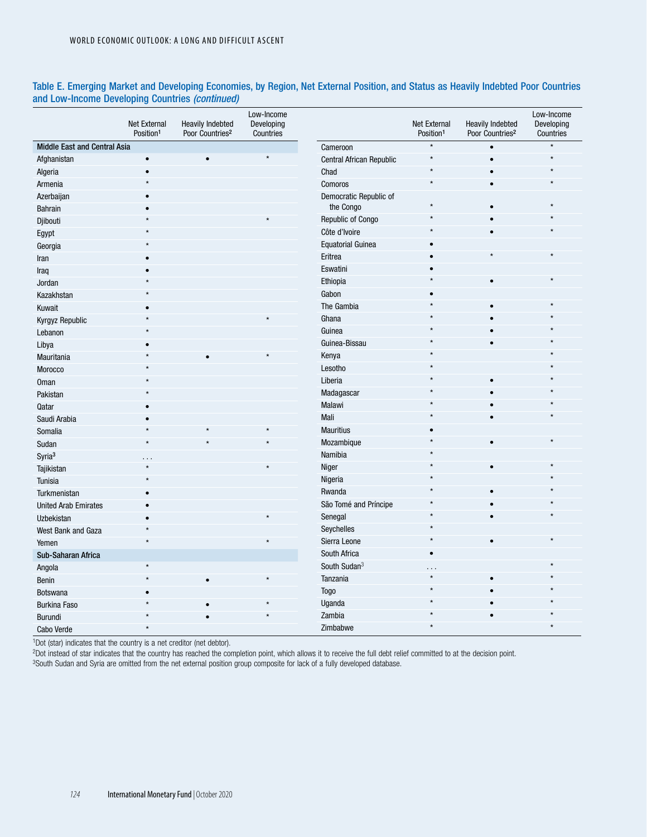|                              | Net External<br>Position <sup>1</sup> | <b>Heavily Indebted</b><br>Poor Countries <sup>2</sup> | Low-Income<br>Developing<br>Countries |                          | Net External<br>Position <sup>1</sup> | <b>Heavily Indebted</b><br>Poor Countries <sup>2</sup> | Low-Income<br>Developing<br>Countries |
|------------------------------|---------------------------------------|--------------------------------------------------------|---------------------------------------|--------------------------|---------------------------------------|--------------------------------------------------------|---------------------------------------|
| Middle East and Central Asia |                                       |                                                        |                                       | Cameroon                 | $\star$                               | $\bullet$                                              | $\star$                               |
| Afghanistan                  | $\bullet$                             | $\bullet$                                              | $\star$                               | Central African Republic |                                       | $\bullet$                                              |                                       |
| Algeria                      | $\bullet$                             |                                                        |                                       | Chad                     |                                       |                                                        |                                       |
| Armenia                      |                                       |                                                        |                                       | Comoros                  |                                       |                                                        |                                       |
| Azerbaijan                   | $\bullet$                             |                                                        |                                       | Democratic Republic of   |                                       |                                                        |                                       |
| <b>Bahrain</b>               |                                       |                                                        |                                       | the Congo                |                                       |                                                        |                                       |
| Djibouti                     |                                       |                                                        |                                       | Republic of Congo        |                                       |                                                        |                                       |
| Egypt                        |                                       |                                                        |                                       | Côte d'Ivoire            |                                       | $\bullet$                                              |                                       |
| Georgia                      |                                       |                                                        |                                       | <b>Equatorial Guinea</b> |                                       |                                                        |                                       |
| Iran                         |                                       |                                                        |                                       | Eritrea                  |                                       |                                                        |                                       |
| Iraq                         |                                       |                                                        |                                       | Eswatini                 |                                       |                                                        |                                       |
| Jordan                       |                                       |                                                        |                                       | Ethiopia                 |                                       | $\bullet$                                              |                                       |
| Kazakhstan                   |                                       |                                                        |                                       | Gabon                    |                                       |                                                        |                                       |
| Kuwait                       |                                       |                                                        |                                       | The Gambia               |                                       | $\bullet$                                              |                                       |
| Kyrgyz Republic              |                                       |                                                        |                                       | Ghana                    |                                       |                                                        |                                       |
| Lebanon                      | $\star$                               |                                                        |                                       | Guinea                   |                                       |                                                        |                                       |
| Libya                        |                                       |                                                        |                                       | Guinea-Bissau            |                                       |                                                        |                                       |
| Mauritania                   | $\star$                               |                                                        |                                       | Kenya                    |                                       |                                                        |                                       |
| Morocco                      |                                       |                                                        |                                       | Lesotho                  |                                       |                                                        |                                       |
| <b>Oman</b>                  |                                       |                                                        |                                       | Liberia                  |                                       |                                                        |                                       |
| Pakistan                     |                                       |                                                        |                                       | Madagascar               |                                       |                                                        |                                       |
| Qatar                        |                                       |                                                        |                                       | Malawi                   |                                       |                                                        |                                       |
| Saudi Arabia                 | $\bullet$                             |                                                        |                                       | Mali                     |                                       |                                                        |                                       |
| Somalia                      | $\star$                               |                                                        |                                       | <b>Mauritius</b>         |                                       |                                                        |                                       |
| Sudan                        | $\star$                               |                                                        |                                       | Mozambique               |                                       | $\bullet$                                              |                                       |
| Syria <sup>3</sup>           |                                       |                                                        |                                       | Namibia                  |                                       |                                                        |                                       |
| Tajikistan                   |                                       |                                                        |                                       | Niger                    |                                       | $\bullet$                                              |                                       |
| Tunisia                      | $\star$                               |                                                        |                                       | Nigeria                  |                                       |                                                        |                                       |
| Turkmenistan                 |                                       |                                                        |                                       | Rwanda                   |                                       |                                                        |                                       |
| <b>United Arab Emirates</b>  | $\bullet$                             |                                                        |                                       | São Tomé and Príncipe    |                                       |                                                        |                                       |
| Uzbekistan                   | $\bullet$                             |                                                        |                                       | Senegal                  |                                       |                                                        |                                       |
| West Bank and Gaza           | $\star$                               |                                                        |                                       | Seychelles               |                                       |                                                        |                                       |
| Yemen                        | $\star$                               |                                                        |                                       | Sierra Leone             | $\star$                               | $\bullet$                                              |                                       |
| Sub-Saharan Africa           |                                       |                                                        |                                       | South Africa             | ٠                                     |                                                        |                                       |
| Angola                       | $\star$                               |                                                        |                                       | South Sudan <sup>3</sup> | .                                     |                                                        |                                       |
| Benin                        | $\star$                               |                                                        |                                       | Tanzania                 | $\star$                               |                                                        |                                       |
| <b>Botswana</b>              |                                       |                                                        |                                       | <b>Togo</b>              | $\star$                               |                                                        |                                       |
| <b>Burkina Faso</b>          |                                       |                                                        |                                       | Uganda                   |                                       |                                                        |                                       |
| Burundi                      |                                       |                                                        |                                       | Zambia                   |                                       |                                                        |                                       |
| Cabo Verde                   | $\star$                               |                                                        |                                       | Zimbabwe                 | $\star$                               |                                                        |                                       |

### Table E. Emerging Market and Developing Economies, by Region, Net External Position, and Status as Heavily Indebted Poor Countries and Low-Income Developing Countries *(continued)*

1Dot (star) indicates that the country is a net creditor (net debtor).

2Dot instead of star indicates that the country has reached the completion point, which allows it to receive the full debt relief committed to at the decision point.

<sup>3</sup>South Sudan and Syria are omitted from the net external position group composite for lack of a fully developed database.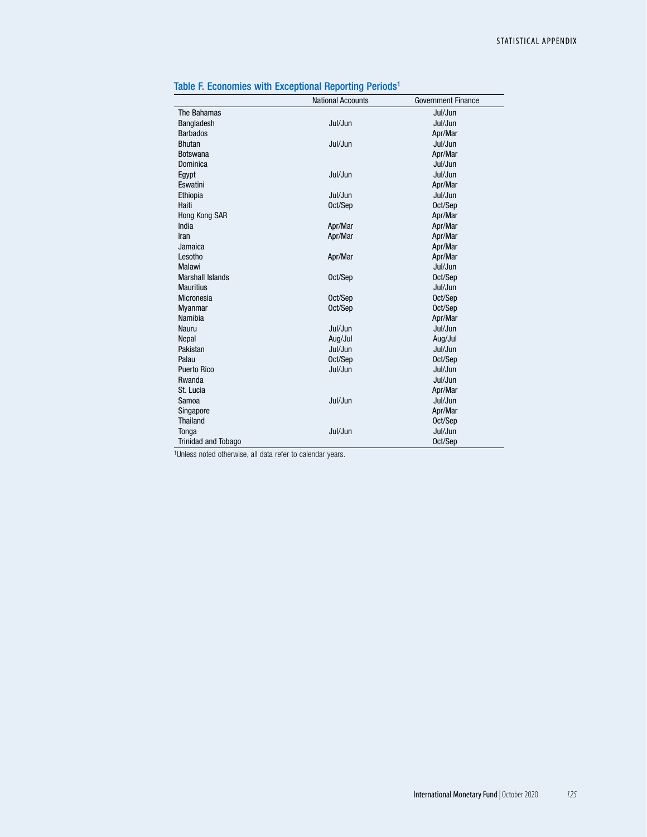|                            | <b>National Accounts</b> | <b>Government Finance</b> |
|----------------------------|--------------------------|---------------------------|
| The Bahamas                |                          | Jul/Jun                   |
| Bangladesh                 | Jul/Jun                  | Jul/Jun                   |
| <b>Barbados</b>            |                          | Apr/Mar                   |
| <b>Bhutan</b>              | Jul/Jun                  | Jul/Jun                   |
| <b>Botswana</b>            |                          | Apr/Mar                   |
| Dominica                   |                          | Jul/Jun                   |
| Egypt                      | Jul/Jun                  | Jul/Jun                   |
| Eswatini                   |                          | Apr/Mar                   |
| Ethiopia                   | Jul/Jun                  | Jul/Jun                   |
| Haiti                      | Oct/Sep                  | Oct/Sep                   |
| Hong Kong SAR              |                          | Apr/Mar                   |
| India                      | Apr/Mar                  | Apr/Mar                   |
| Iran                       | Apr/Mar                  | Apr/Mar                   |
| Jamaica                    |                          | Apr/Mar                   |
| Lesotho                    | Apr/Mar                  | Apr/Mar                   |
| Malawi                     |                          | Jul/Jun                   |
| <b>Marshall Islands</b>    | Oct/Sep                  | Oct/Sep                   |
| <b>Mauritius</b>           |                          | Jul/Jun                   |
| Micronesia                 | Oct/Sep                  | Oct/Sep                   |
| Myanmar                    | Oct/Sep                  | Oct/Sep                   |
| Namibia                    |                          | Apr/Mar                   |
| Nauru                      | Jul/Jun                  | Jul/Jun                   |
| Nepal                      | Aug/Jul                  | Aug/Jul                   |
| Pakistan                   | Jul/Jun                  | Jul/Jun                   |
| Palau                      | Oct/Sep                  | Oct/Sep                   |
| Puerto Rico                | Jul/Jun                  | Jul/Jun                   |
| Rwanda                     |                          | Jul/Jun                   |
| St. Lucia                  |                          | Apr/Mar                   |
| Samoa                      | Jul/Jun                  | Jul/Jun                   |
| Singapore                  |                          | Apr/Mar                   |
| <b>Thailand</b>            |                          | Oct/Sep                   |
| Tonga                      | Jul/Jun                  | Jul/Jun                   |
| <b>Trinidad and Tobago</b> |                          | Oct/Sep                   |

| Table F. Economies with Exceptional Reporting Periods <sup>1</sup> |  |  |  |  |  |  |  |
|--------------------------------------------------------------------|--|--|--|--|--|--|--|
|--------------------------------------------------------------------|--|--|--|--|--|--|--|

1Unless noted otherwise, all data refer to calendar years.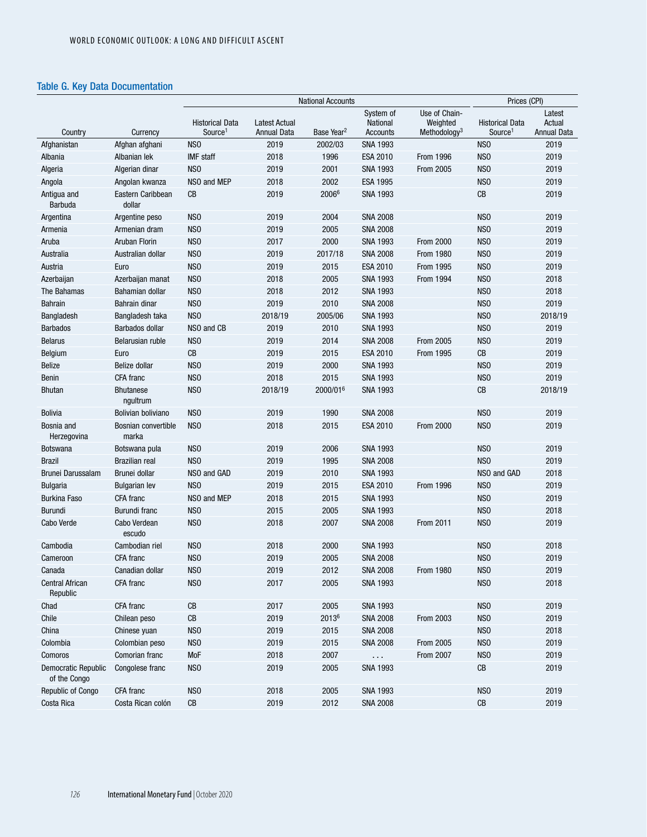## Table G. Key Data Documentation

|                                            |                              |                                               | Prices (CPI)                        |                        |                                   |                                                       |                                               |                                        |
|--------------------------------------------|------------------------------|-----------------------------------------------|-------------------------------------|------------------------|-----------------------------------|-------------------------------------------------------|-----------------------------------------------|----------------------------------------|
| Country                                    | Currency                     | <b>Historical Data</b><br>Source <sup>1</sup> | <b>Latest Actual</b><br>Annual Data | Base Year <sup>2</sup> | System of<br>National<br>Accounts | Use of Chain-<br>Weighted<br>Methodology <sup>3</sup> | <b>Historical Data</b><br>Source <sup>1</sup> | Latest<br>Actual<br><b>Annual Data</b> |
| Afghanistan                                | Afghan afghani               | NS <sub>0</sub>                               | 2019                                | 2002/03                | <b>SNA 1993</b>                   |                                                       | N <sub>SO</sub>                               | 2019                                   |
| Albania                                    | Albanian lek                 | <b>IMF</b> staff                              | 2018                                | 1996                   | <b>ESA 2010</b>                   | <b>From 1996</b>                                      | N <sub>S</sub> O                              | 2019                                   |
| Algeria                                    | Algerian dinar               | NS <sub>0</sub>                               | 2019                                | 2001                   | <b>SNA 1993</b>                   | <b>From 2005</b>                                      | N <sub>SO</sub>                               | 2019                                   |
| Angola                                     | Angolan kwanza               | NSO and MEP                                   | 2018                                | 2002                   | <b>ESA 1995</b>                   |                                                       | N <sub>SO</sub>                               | 2019                                   |
| Antigua and<br><b>Barbuda</b>              | Eastern Caribbean<br>dollar  | CB                                            | 2019                                | 20066                  | <b>SNA 1993</b>                   |                                                       | CB                                            | 2019                                   |
| Argentina                                  | Argentine peso               | NS <sub>0</sub>                               | 2019                                | 2004                   | <b>SNA 2008</b>                   |                                                       | N <sub>SO</sub>                               | 2019                                   |
| Armenia                                    | Armenian dram                | NS <sub>0</sub>                               | 2019                                | 2005                   | <b>SNA 2008</b>                   |                                                       | N <sub>SO</sub>                               | 2019                                   |
| Aruba                                      | <b>Aruban Florin</b>         | NS <sub>0</sub>                               | 2017                                | 2000                   | <b>SNA 1993</b>                   | <b>From 2000</b>                                      | N <sub>SO</sub>                               | 2019                                   |
| Australia                                  | Australian dollar            | NS <sub>0</sub>                               | 2019                                | 2017/18                | <b>SNA 2008</b>                   | <b>From 1980</b>                                      | N <sub>SO</sub>                               | 2019                                   |
| Austria                                    | Euro                         | N <sub>S</sub> O                              | 2019                                | 2015                   | <b>ESA 2010</b>                   | <b>From 1995</b>                                      | N <sub>S</sub> O                              | 2019                                   |
| Azerbaijan                                 | Azerbaijan manat             | NS <sub>0</sub>                               | 2018                                | 2005                   | <b>SNA 1993</b>                   | From 1994                                             | N <sub>SO</sub>                               | 2018                                   |
| The Bahamas                                | Bahamian dollar              | NS <sub>0</sub>                               | 2018                                | 2012                   | <b>SNA 1993</b>                   |                                                       | N <sub>SO</sub>                               | 2018                                   |
| <b>Bahrain</b>                             | Bahrain dinar                | NS <sub>0</sub>                               | 2019                                | 2010                   | <b>SNA 2008</b>                   |                                                       | N <sub>SO</sub>                               | 2019                                   |
| Bangladesh                                 | Bangladesh taka              | NS <sub>0</sub>                               | 2018/19                             | 2005/06                | <b>SNA 1993</b>                   |                                                       | N <sub>SO</sub>                               | 2018/19                                |
| <b>Barbados</b>                            | Barbados dollar              | NSO and CB                                    | 2019                                | 2010                   | <b>SNA 1993</b>                   |                                                       | N <sub>SO</sub>                               | 2019                                   |
| <b>Belarus</b>                             | Belarusian ruble             | N <sub>S</sub> O                              | 2019                                | 2014                   | <b>SNA 2008</b>                   | <b>From 2005</b>                                      | N <sub>SO</sub>                               | 2019                                   |
| Belgium                                    | Euro                         | CB                                            | 2019                                | 2015                   | <b>ESA 2010</b>                   | <b>From 1995</b>                                      | CB                                            | 2019                                   |
| <b>Belize</b>                              | <b>Belize dollar</b>         | NS <sub>0</sub>                               | 2019                                | 2000                   | <b>SNA 1993</b>                   |                                                       | N <sub>SO</sub>                               | 2019                                   |
| Benin                                      | CFA franc                    | NS <sub>0</sub>                               | 2018                                | 2015                   | <b>SNA 1993</b>                   |                                                       | N <sub>SO</sub>                               | 2019                                   |
| <b>Bhutan</b>                              | <b>Bhutanese</b><br>ngultrum | N <sub>SO</sub>                               | 2018/19                             | 2000/016               | <b>SNA 1993</b>                   |                                                       | CB                                            | 2018/19                                |
| <b>Bolivia</b>                             | Bolivian boliviano           | NS <sub>0</sub>                               | 2019                                | 1990                   | <b>SNA 2008</b>                   |                                                       | N <sub>SO</sub>                               | 2019                                   |
| Bosnia and<br>Herzegovina                  | Bosnian convertible<br>marka | NS <sub>0</sub>                               | 2018                                | 2015                   | <b>ESA 2010</b>                   | <b>From 2000</b>                                      | N <sub>SO</sub>                               | 2019                                   |
| <b>Botswana</b>                            | Botswana pula                | NS <sub>0</sub>                               | 2019                                | 2006                   | <b>SNA 1993</b>                   |                                                       | N <sub>SO</sub>                               | 2019                                   |
| <b>Brazil</b>                              | <b>Brazilian real</b>        | NS <sub>0</sub>                               | 2019                                | 1995                   | <b>SNA 2008</b>                   |                                                       | N <sub>SO</sub>                               | 2019                                   |
| <b>Brunei Darussalam</b>                   | Brunei dollar                | NSO and GAD                                   | 2019                                | 2010                   | <b>SNA 1993</b>                   |                                                       | NSO and GAD                                   | 2018                                   |
| <b>Bulgaria</b>                            | <b>Bulgarian lev</b>         | NS <sub>0</sub>                               | 2019                                | 2015                   | <b>ESA 2010</b>                   | <b>From 1996</b>                                      | N <sub>SO</sub>                               | 2019                                   |
| <b>Burkina Faso</b>                        | CFA franc                    | NSO and MEP                                   | 2018                                | 2015                   | <b>SNA 1993</b>                   |                                                       | N <sub>S</sub> O                              | 2019                                   |
| <b>Burundi</b>                             | Burundi franc                | N <sub>S</sub> O                              | 2015                                | 2005                   | <b>SNA 1993</b>                   |                                                       | N <sub>S</sub> O                              | 2018                                   |
| Cabo Verde                                 | Cabo Verdean<br>escudo       | NS <sub>0</sub>                               | 2018                                | 2007                   | <b>SNA 2008</b>                   | <b>From 2011</b>                                      | N <sub>SO</sub>                               | 2019                                   |
| Cambodia                                   | Cambodian riel               | N <sub>SO</sub>                               | 2018                                | 2000                   | <b>SNA 1993</b>                   |                                                       | N <sub>SO</sub>                               | 2018                                   |
| Cameroon                                   | CFA franc                    | N <sub>SO</sub>                               | 2019                                | 2005                   | <b>SNA 2008</b>                   |                                                       | N <sub>SO</sub>                               | 2019                                   |
| Canada                                     | Canadian dollar              | NSO                                           | 2019                                | 2012                   | <b>SNA 2008</b>                   | <b>From 1980</b>                                      | NSO                                           | 2019                                   |
| <b>Central African</b><br>Republic         | CFA franc                    | NS <sub>0</sub>                               | 2017                                | 2005                   | <b>SNA 1993</b>                   |                                                       | NS <sub>0</sub>                               | 2018                                   |
| Chad                                       | CFA franc                    | CB                                            | 2017                                | 2005                   | <b>SNA 1993</b>                   |                                                       | NS <sub>0</sub>                               | 2019                                   |
| Chile                                      | Chilean peso                 | ${\sf CB}$                                    | 2019                                | 20136                  | <b>SNA 2008</b>                   | <b>From 2003</b>                                      | NS <sub>0</sub>                               | 2019                                   |
| China                                      | Chinese yuan                 | NS <sub>0</sub>                               | 2019                                | 2015                   | <b>SNA 2008</b>                   |                                                       | NS <sub>0</sub>                               | 2018                                   |
| Colombia                                   | Colombian peso               | NS <sub>0</sub>                               | 2019                                | 2015                   | <b>SNA 2008</b>                   | <b>From 2005</b>                                      | NS <sub>0</sub>                               | 2019                                   |
| Comoros                                    | Comorian franc               | MoF                                           | 2018                                | 2007                   | $\ldots$                          | <b>From 2007</b>                                      | NS <sub>0</sub>                               | 2019                                   |
| <b>Democratic Republic</b><br>of the Congo | Congolese franc              | NS <sub>0</sub>                               | 2019                                | 2005                   | <b>SNA 1993</b>                   |                                                       | CB                                            | 2019                                   |
| <b>Republic of Congo</b>                   | CFA franc                    | NS <sub>0</sub>                               | 2018                                | 2005                   | <b>SNA 1993</b>                   |                                                       | NS <sub>0</sub>                               | 2019                                   |
| Costa Rica                                 | Costa Rican colón            | ${\rm CB}$                                    | 2019                                | 2012                   | <b>SNA 2008</b>                   |                                                       | $\mathsf{CB}$                                 | 2019                                   |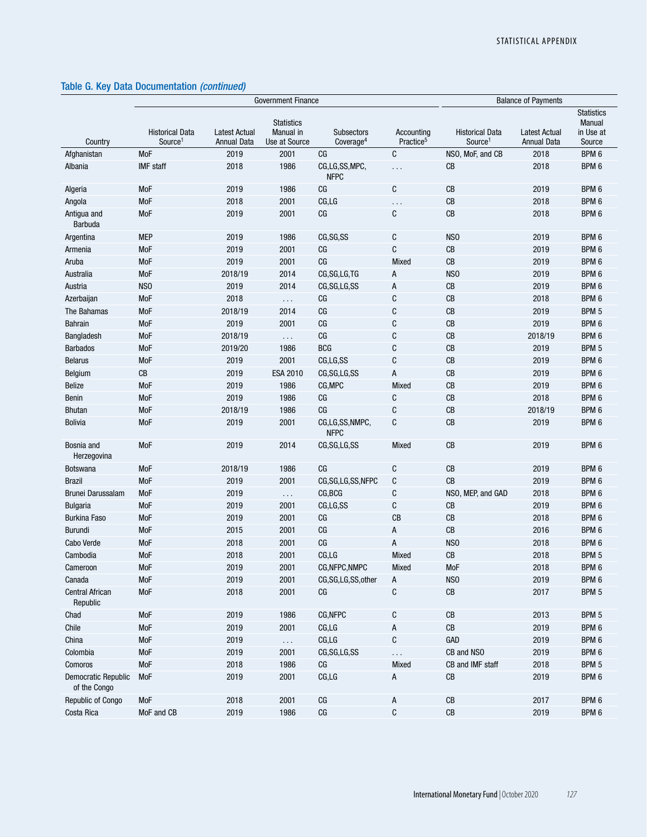|                                            | <b>Government Finance</b>                     |                                     |                                                        |                                            |                                     | <b>Balance of Payments</b>                    |                                            |                                                    |  |
|--------------------------------------------|-----------------------------------------------|-------------------------------------|--------------------------------------------------------|--------------------------------------------|-------------------------------------|-----------------------------------------------|--------------------------------------------|----------------------------------------------------|--|
| Country                                    | <b>Historical Data</b><br>Source <sup>1</sup> | <b>Latest Actual</b><br>Annual Data | <b>Statistics</b><br><b>Manual</b> in<br>Use at Source | <b>Subsectors</b><br>Coverage <sup>4</sup> | Accounting<br>Practice <sup>5</sup> | <b>Historical Data</b><br>Source <sup>1</sup> | <b>Latest Actual</b><br><b>Annual Data</b> | <b>Statistics</b><br>Manual<br>in Use at<br>Source |  |
| Afghanistan                                | <b>MoF</b>                                    | 2019                                | 2001                                                   | CG                                         | C                                   | NSO, MoF, and CB                              | 2018                                       | BPM 6                                              |  |
| Albania                                    | <b>IMF</b> staff                              | 2018                                | 1986                                                   | CG,LG,SS,MPC,<br><b>NFPC</b>               | $\cdots$                            | CB                                            | 2018                                       | BPM 6                                              |  |
| Algeria                                    | <b>MoF</b>                                    | 2019                                | 1986                                                   | C <sub>G</sub>                             | C                                   | CB                                            | 2019                                       | BPM 6                                              |  |
| Angola                                     | <b>MoF</b>                                    | 2018                                | 2001                                                   | CG, LG                                     | $\ddotsc$                           | CB                                            | 2018                                       | BPM 6                                              |  |
| Antigua and<br>Barbuda                     | <b>MoF</b>                                    | 2019                                | 2001                                                   | C <sub>G</sub>                             | C                                   | CB                                            | 2018                                       | BPM 6                                              |  |
| Argentina                                  | <b>MEP</b>                                    | 2019                                | 1986                                                   | CG, SG, SS                                 | С                                   | NS <sub>0</sub>                               | 2019                                       | BPM 6                                              |  |
| Armenia                                    | <b>MoF</b>                                    | 2019                                | 2001                                                   | CG                                         | C                                   | CB                                            | 2019                                       | BPM 6                                              |  |
| Aruba                                      | <b>MoF</b>                                    | 2019                                | 2001                                                   | C <sub>G</sub>                             | Mixed                               | CB                                            | 2019                                       | BPM 6                                              |  |
| Australia                                  | <b>MoF</b>                                    | 2018/19                             | 2014                                                   | CG, SG, LG, TG                             | А                                   | NS <sub>0</sub>                               | 2019                                       | BPM 6                                              |  |
| Austria                                    | NS <sub>0</sub>                               | 2019                                | 2014                                                   | CG, SG, LG, SS                             | А                                   | CB                                            | 2019                                       | BPM 6                                              |  |
| Azerbaijan                                 | <b>MoF</b>                                    | 2018                                | $\sim$ $\sim$ $\sim$                                   | CG                                         | С                                   | CB                                            | 2018                                       | BPM 6                                              |  |
| The Bahamas                                | <b>MoF</b>                                    | 2018/19                             | 2014                                                   | C <sub>G</sub>                             | C                                   | CB                                            | 2019                                       | BPM 5                                              |  |
| <b>Bahrain</b>                             | <b>MoF</b>                                    | 2019                                | 2001                                                   | C <sub>G</sub>                             | С                                   | CB                                            | 2019                                       | BPM 6                                              |  |
| Bangladesh                                 | <b>MoF</b>                                    | 2018/19                             | $\cdots$                                               | CG                                         | С                                   | CB                                            | 2018/19                                    | BPM 6                                              |  |
| <b>Barbados</b>                            | MoF                                           | 2019/20                             | 1986                                                   | <b>BCG</b>                                 | С                                   | CB                                            | 2019                                       | BPM 5                                              |  |
| <b>Belarus</b>                             | MoF                                           | 2019                                | 2001                                                   | CG,LG,SS                                   | С                                   | CB                                            | 2019                                       | BPM 6                                              |  |
| Belgium                                    | $\mathsf{CB}$                                 | 2019                                | <b>ESA 2010</b>                                        | CG, SG, LG, SS                             | А                                   | CB                                            | 2019                                       | BPM 6                                              |  |
| <b>Belize</b>                              | <b>MoF</b>                                    | 2019                                | 1986                                                   | CG, MPC                                    | Mixed                               | CB                                            | 2019                                       | BPM 6                                              |  |
| <b>Benin</b>                               | <b>MoF</b>                                    | 2019                                | 1986                                                   | CG                                         | С                                   | CB                                            | 2018                                       | BPM 6                                              |  |
| <b>Bhutan</b>                              | MoF                                           | 2018/19                             | 1986                                                   | C <sub>G</sub>                             | C                                   | CB                                            | 2018/19                                    | BPM 6                                              |  |
| Bolivia                                    | <b>MoF</b>                                    | 2019                                | 2001                                                   | CG,LG,SS,NMPC,<br><b>NFPC</b>              | C                                   | CB                                            | 2019                                       | BPM 6                                              |  |
| Bosnia and<br>Herzegovina                  | <b>MoF</b>                                    | 2019                                | 2014                                                   | CG, SG, LG, SS                             | Mixed                               | CB                                            | 2019                                       | BPM 6                                              |  |
| Botswana                                   | MoF                                           | 2018/19                             | 1986                                                   | CG                                         | С                                   | CB                                            | 2019                                       | BPM 6                                              |  |
| <b>Brazil</b>                              | <b>MoF</b>                                    | 2019                                | 2001                                                   | CG,SG,LG,SS,NFPC                           | С                                   | CB                                            | 2019                                       | BPM 6                                              |  |
| Brunei Darussalam                          | <b>MoF</b>                                    | 2019                                | $\sim$ .                                               | CG, BCG                                    | С                                   | NSO, MEP, and GAD                             | 2018                                       | BPM 6                                              |  |
| <b>Bulgaria</b>                            | <b>MoF</b>                                    | 2019                                | 2001                                                   | CG,LG,SS                                   | С                                   | CB                                            | 2019                                       | BPM 6                                              |  |
| <b>Burkina Faso</b>                        | <b>MoF</b>                                    | 2019                                | 2001                                                   | C <sub>G</sub>                             | CB                                  | CB                                            | 2018                                       | BPM 6                                              |  |
| Burundi                                    | <b>MoF</b>                                    | 2015                                | 2001                                                   | C <sub>G</sub>                             | А                                   | CB                                            | 2016                                       | BPM 6                                              |  |
| Cabo Verde                                 | <b>MoF</b>                                    | 2018                                | 2001                                                   | C <sub>G</sub>                             | А                                   | NS <sub>0</sub>                               | 2018                                       | BPM 6                                              |  |
| Cambodia                                   | <b>MoF</b>                                    | 2018                                | 2001                                                   | CG, LG                                     | Mixed                               | CB                                            | 2018                                       | BPM 5                                              |  |
| Cameroon                                   | <b>MoF</b>                                    | 2019                                | 2001                                                   | CG, NFPC, NMPC                             | Mixed                               | <b>MoF</b>                                    | 2018                                       | BPM 6                                              |  |
| Canada                                     | MoF                                           | 2019                                | 2001                                                   | CG,SG,LG,SS,other                          | A                                   | NS <sub>0</sub>                               | 2019                                       | BPM 6                                              |  |
| Central African<br>Republic                | MoF                                           | 2018                                | 2001                                                   | CG                                         | C                                   | CB                                            | 2017                                       | BPM 5                                              |  |
| Chad                                       | MoF                                           | 2019                                | 1986                                                   | CG, NFPC                                   | С                                   | CB                                            | 2013                                       | BPM 5                                              |  |
| Chile                                      | MoF                                           | 2019                                | 2001                                                   | CG, LG                                     | А                                   | CB                                            | 2019                                       | BPM 6                                              |  |
| China                                      | MoF                                           | 2019                                | $\ldots$                                               | CG, LG                                     | С                                   | GAD                                           | 2019                                       | BPM 6                                              |  |
| Colombia                                   | MoF                                           | 2019                                | 2001                                                   | CG,SG,LG,SS                                | $\cdots$                            | CB and NSO                                    | 2019                                       | BPM 6                                              |  |
| Comoros                                    | MoF                                           | 2018                                | 1986                                                   | CG                                         | <b>Mixed</b>                        | CB and IMF staff                              | 2018                                       | BPM 5                                              |  |
| <b>Democratic Republic</b><br>of the Congo | MoF                                           | 2019                                | 2001                                                   | CG, LG                                     | А                                   | CB                                            | 2019                                       | BPM 6                                              |  |
| Republic of Congo                          | MoF                                           | 2018                                | 2001                                                   | CG                                         | А                                   | CB                                            | 2017                                       | BPM 6                                              |  |
| Costa Rica                                 | MoF and CB                                    | 2019                                | 1986                                                   | CG                                         | C                                   | CB                                            | 2019                                       | BPM 6                                              |  |
|                                            |                                               |                                     |                                                        |                                            |                                     |                                               |                                            |                                                    |  |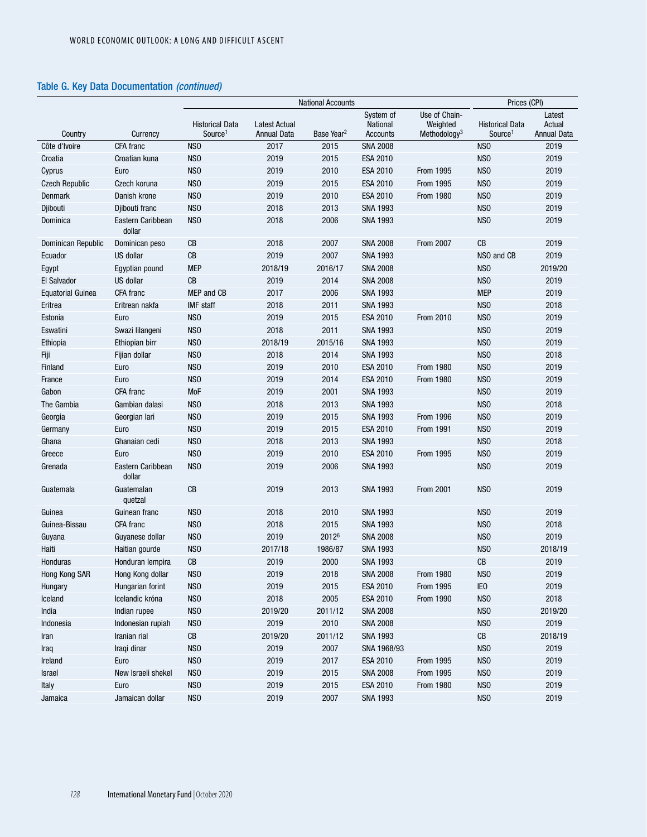|                          |                             | <b>National Accounts</b>                      |                                            |                        | Prices (CPI)                             |                                                       |                                               |                                        |
|--------------------------|-----------------------------|-----------------------------------------------|--------------------------------------------|------------------------|------------------------------------------|-------------------------------------------------------|-----------------------------------------------|----------------------------------------|
| Country                  | Currency                    | <b>Historical Data</b><br>Source <sup>1</sup> | <b>Latest Actual</b><br><b>Annual Data</b> | Base Year <sup>2</sup> | System of<br>National<br><b>Accounts</b> | Use of Chain-<br>Weighted<br>Methodology <sup>3</sup> | <b>Historical Data</b><br>Source <sup>1</sup> | Latest<br>Actual<br><b>Annual Data</b> |
| Côte d'Ivoire            | CFA franc                   | NS <sub>0</sub>                               | 2017                                       | 2015                   | <b>SNA 2008</b>                          |                                                       | N <sub>SO</sub>                               | 2019                                   |
| Croatia                  | Croatian kuna               | NS <sub>0</sub>                               | 2019                                       | 2015                   | ESA 2010                                 |                                                       | NS <sub>0</sub>                               | 2019                                   |
| Cyprus                   | Euro                        | NS <sub>0</sub>                               | 2019                                       | 2010                   | <b>ESA 2010</b>                          | From 1995                                             | N <sub>SO</sub>                               | 2019                                   |
| <b>Czech Republic</b>    | Czech koruna                | NS <sub>0</sub>                               | 2019                                       | 2015                   | <b>ESA 2010</b>                          | From 1995                                             | NS <sub>0</sub>                               | 2019                                   |
| Denmark                  | Danish krone                | NS <sub>0</sub>                               | 2019                                       | 2010                   | <b>ESA 2010</b>                          | From 1980                                             | N <sub>SO</sub>                               | 2019                                   |
| Djibouti                 | Djibouti franc              | NS <sub>0</sub>                               | 2018                                       | 2013                   | <b>SNA 1993</b>                          |                                                       | NS <sub>0</sub>                               | 2019                                   |
| Dominica                 | Eastern Caribbean<br>dollar | NS <sub>0</sub>                               | 2018                                       | 2006                   | <b>SNA 1993</b>                          |                                                       | NS <sub>0</sub>                               | 2019                                   |
| Dominican Republic       | Dominican peso              | CB                                            | 2018                                       | 2007                   | <b>SNA 2008</b>                          | <b>From 2007</b>                                      | CB                                            | 2019                                   |
| Ecuador                  | US dollar                   | CB                                            | 2019                                       | 2007                   | <b>SNA 1993</b>                          |                                                       | NSO and CB                                    | 2019                                   |
| Egypt                    | Egyptian pound              | <b>MEP</b>                                    | 2018/19                                    | 2016/17                | <b>SNA 2008</b>                          |                                                       | N <sub>SO</sub>                               | 2019/20                                |
| El Salvador              | US dollar                   | CB                                            | 2019                                       | 2014                   | <b>SNA 2008</b>                          |                                                       | NS <sub>0</sub>                               | 2019                                   |
| <b>Equatorial Guinea</b> | CFA franc                   | MEP and CB                                    | 2017                                       | 2006                   | <b>SNA 1993</b>                          |                                                       | <b>MEP</b>                                    | 2019                                   |
| Eritrea                  | Eritrean nakfa              | <b>IMF</b> staff                              | 2018                                       | 2011                   | <b>SNA 1993</b>                          |                                                       | N <sub>SO</sub>                               | 2018                                   |
| Estonia                  | Euro                        | NS <sub>O</sub>                               | 2019                                       | 2015                   | ESA 2010                                 | From 2010                                             | NS <sub>0</sub>                               | 2019                                   |
| Eswatini                 | Swazi lilangeni             | NS <sub>0</sub>                               | 2018                                       | 2011                   | <b>SNA 1993</b>                          |                                                       | N <sub>SO</sub>                               | 2019                                   |
| Ethiopia                 | Ethiopian birr              | NS <sub>0</sub>                               | 2018/19                                    | 2015/16                | <b>SNA 1993</b>                          |                                                       | NS <sub>0</sub>                               | 2019                                   |
| Fiji                     | Fijian dollar               | NS <sub>0</sub>                               | 2018                                       | 2014                   | <b>SNA 1993</b>                          |                                                       | NS <sub>0</sub>                               | 2018                                   |
| Finland                  | Euro                        | NS <sub>0</sub>                               | 2019                                       | 2010                   | <b>ESA 2010</b>                          | From 1980                                             | NS <sub>0</sub>                               | 2019                                   |
| France                   | Euro                        | NS <sub>0</sub>                               | 2019                                       | 2014                   | <b>ESA 2010</b>                          | From 1980                                             | NS <sub>0</sub>                               | 2019                                   |
| Gabon                    | CFA franc                   | MoF                                           | 2019                                       | 2001                   | <b>SNA 1993</b>                          |                                                       | NS <sub>0</sub>                               | 2019                                   |
| The Gambia               | Gambian dalasi              | NS <sub>0</sub>                               | 2018                                       | 2013                   | <b>SNA 1993</b>                          |                                                       | N <sub>SO</sub>                               | 2018                                   |
| Georgia                  | Georgian lari               | NS <sub>0</sub>                               | 2019                                       | 2015                   | <b>SNA 1993</b>                          | From 1996                                             | N <sub>SO</sub>                               | 2019                                   |
| Germany                  | Euro                        | NS <sub>0</sub>                               | 2019                                       | 2015                   | ESA 2010                                 | From 1991                                             | N <sub>SO</sub>                               | 2019                                   |
| Ghana                    | Ghanaian cedi               | NS <sub>0</sub>                               | 2018                                       | 2013                   | <b>SNA 1993</b>                          |                                                       | N <sub>SO</sub>                               | 2018                                   |
| Greece                   | Euro                        | NS <sub>0</sub>                               | 2019                                       | 2010                   | ESA 2010                                 | From 1995                                             | N <sub>SO</sub>                               | 2019                                   |
| Grenada                  | Eastern Caribbean<br>dollar | NS <sub>0</sub>                               | 2019                                       | 2006                   | <b>SNA 1993</b>                          |                                                       | N <sub>SO</sub>                               | 2019                                   |
| Guatemala                | Guatemalan<br>quetzal       | $\mathsf{CB}$                                 | 2019                                       | 2013                   | <b>SNA 1993</b>                          | <b>From 2001</b>                                      | N <sub>SO</sub>                               | 2019                                   |
| Guinea                   | Guinean franc               | NS <sub>0</sub>                               | 2018                                       | 2010                   | <b>SNA 1993</b>                          |                                                       | NS <sub>0</sub>                               | 2019                                   |
| Guinea-Bissau            | CFA franc                   | NS <sub>0</sub>                               | 2018                                       | 2015                   | <b>SNA 1993</b>                          |                                                       | N <sub>SO</sub>                               | 2018                                   |
| Guyana                   | Guyanese dollar             | NS <sub>0</sub>                               | 2019                                       | 20126                  | <b>SNA 2008</b>                          |                                                       | N <sub>SO</sub>                               | 2019                                   |
| Haiti                    | Haitian gourde              | NS <sub>0</sub>                               | 2017/18                                    | 1986/87                | <b>SNA 1993</b>                          |                                                       | N <sub>SO</sub>                               | 2018/19                                |
| Honduras                 | Honduran lempira            | CB                                            | 2019                                       | 2000                   | <b>SNA 1993</b>                          |                                                       | CB                                            | 2019                                   |
| Hong Kong SAR            | Hong Kong dollar            | NS <sub>0</sub>                               | 2019                                       | 2018                   | <b>SNA 2008</b>                          | From 1980                                             | NS <sub>0</sub>                               | 2019                                   |
| Hungary                  | Hungarian forint            | NS <sub>0</sub>                               | 2019                                       | 2015                   | ESA 2010                                 | From 1995                                             | IE <sub>0</sub>                               | 2019                                   |
| Iceland                  | Icelandic króna             | NS <sub>0</sub>                               | 2018                                       | 2005                   | ESA 2010                                 | From 1990                                             | NS <sub>0</sub>                               | 2018                                   |
| India                    | Indian rupee                | NS <sub>0</sub>                               | 2019/20                                    | 2011/12                | <b>SNA 2008</b>                          |                                                       | NS <sub>0</sub>                               | 2019/20                                |
| Indonesia                | Indonesian rupiah           | NS <sub>0</sub>                               | 2019                                       | 2010                   | <b>SNA 2008</b>                          |                                                       | NS <sub>0</sub>                               | 2019                                   |
| Iran                     | Iranian rial                | ${\rm CB}$                                    | 2019/20                                    | 2011/12                | <b>SNA 1993</b>                          |                                                       | ${\rm CB}$                                    | 2018/19                                |
| Iraq                     | Iraqi dinar                 | NS <sub>0</sub>                               | 2019                                       | 2007                   | SNA 1968/93                              |                                                       | NS <sub>0</sub>                               | 2019                                   |
| Ireland                  | Euro                        | NS <sub>0</sub>                               | 2019                                       | 2017                   | ESA 2010                                 | From 1995                                             | NS <sub>0</sub>                               | 2019                                   |
| Israel                   | New Israeli shekel          | NS <sub>0</sub>                               | 2019                                       | 2015                   | <b>SNA 2008</b>                          | From 1995                                             | NS <sub>0</sub>                               | 2019                                   |
| Italy                    | Euro                        | NS <sub>0</sub>                               | 2019                                       | 2015                   | ESA 2010                                 | From 1980                                             | NS <sub>0</sub>                               | 2019                                   |
| Jamaica                  | Jamaican dollar             | NS <sub>0</sub>                               | 2019                                       | 2007                   | <b>SNA 1993</b>                          |                                                       | NS <sub>0</sub>                               | 2019                                   |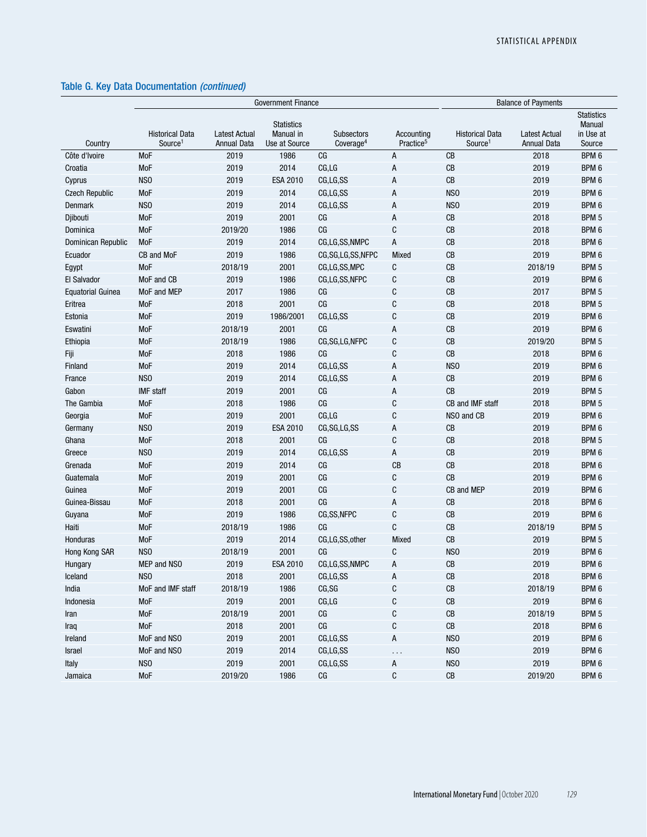|                          |                                               | <b>Government Finance</b>                  | <b>Balance of Payments</b>                      |                                            |                                     |                                               |                                            |                                                    |
|--------------------------|-----------------------------------------------|--------------------------------------------|-------------------------------------------------|--------------------------------------------|-------------------------------------|-----------------------------------------------|--------------------------------------------|----------------------------------------------------|
| Country                  | <b>Historical Data</b><br>Source <sup>1</sup> | <b>Latest Actual</b><br><b>Annual Data</b> | <b>Statistics</b><br>Manual in<br>Use at Source | <b>Subsectors</b><br>Coverage <sup>4</sup> | Accounting<br>Practice <sup>5</sup> | <b>Historical Data</b><br>Source <sup>1</sup> | <b>Latest Actual</b><br><b>Annual Data</b> | <b>Statistics</b><br>Manual<br>in Use at<br>Source |
| Côte d'Ivoire            | MoF                                           | 2019                                       | 1986                                            | CG                                         | A                                   | CВ                                            | 2018                                       | BPM 6                                              |
| Croatia                  | MoF                                           | 2019                                       | 2014                                            | CG, LG                                     | A                                   | CB                                            | 2019                                       | BPM 6                                              |
| Cyprus                   | NS <sub>0</sub>                               | 2019                                       | <b>ESA 2010</b>                                 | CG,LG,SS                                   | A                                   | CB                                            | 2019                                       | BPM 6                                              |
| <b>Czech Republic</b>    | MoF                                           | 2019                                       | 2014                                            | CG,LG,SS                                   | А                                   | NS <sub>0</sub>                               | 2019                                       | BPM 6                                              |
| Denmark                  | NS <sub>0</sub>                               | 2019                                       | 2014                                            | CG,LG,SS                                   | Α                                   | NS <sub>0</sub>                               | 2019                                       | BPM 6                                              |
| Djibouti                 | MoF                                           | 2019                                       | 2001                                            | СG                                         | A                                   | CВ                                            | 2018                                       | BPM <sub>5</sub>                                   |
| Dominica                 | MoF                                           | 2019/20                                    | 1986                                            | CG                                         | C                                   | CB                                            | 2018                                       | BPM 6                                              |
| Dominican Republic       | MoF                                           | 2019                                       | 2014                                            | CG,LG,SS,NMPC                              | A                                   | CB                                            | 2018                                       | BPM 6                                              |
| Ecuador                  | CB and MoF                                    | 2019                                       | 1986                                            | CG,SG,LG,SS,NFPC                           | Mixed                               | CB                                            | 2019                                       | BPM 6                                              |
| Egypt                    | MoF                                           | 2018/19                                    | 2001                                            | CG,LG,SS,MPC                               | C                                   | CB                                            | 2018/19                                    | BPM 5                                              |
| El Salvador              | MoF and CB                                    | 2019                                       | 1986                                            | CG,LG,SS,NFPC                              | C                                   | CB                                            | 2019                                       | BPM 6                                              |
| <b>Equatorial Guinea</b> | MoF and MEP                                   | 2017                                       | 1986                                            | CG                                         | C                                   | CB                                            | 2017                                       | BPM 5                                              |
| Eritrea                  | <b>MoF</b>                                    | 2018                                       | 2001                                            | CG                                         | C                                   | CB                                            | 2018                                       | BPM 5                                              |
| Estonia                  | MoF                                           | 2019                                       | 1986/2001                                       | CG,LG,SS                                   | C                                   | CB                                            | 2019                                       | BPM 6                                              |
| Eswatini                 | MoF                                           | 2018/19                                    | 2001                                            | CG                                         | A                                   | CB                                            | 2019                                       | BPM 6                                              |
| Ethiopia                 | MoF                                           | 2018/19                                    | 1986                                            | CG, SG, LG, NFPC                           | C                                   | CB                                            | 2019/20                                    | BPM <sub>5</sub>                                   |
| Fiji                     | MoF                                           | 2018                                       | 1986                                            | CG                                         | C                                   | CB                                            | 2018                                       | BPM 6                                              |
| Finland                  | MoF                                           | 2019                                       | 2014                                            | CG,LG,SS                                   | А                                   | NS <sub>O</sub>                               | 2019                                       | BPM <sub>6</sub>                                   |
| France                   | NS <sub>0</sub>                               | 2019                                       | 2014                                            | CG,LG,SS                                   | A                                   | CB                                            | 2019                                       | BPM 6                                              |
| Gabon                    | <b>IMF</b> staff                              | 2019                                       | 2001                                            | CG                                         | A                                   | СB                                            | 2019                                       | BPM 5                                              |
| The Gambia               | <b>MoF</b>                                    | 2018                                       | 1986                                            | CG                                         | C                                   | CB and IMF staff                              | 2018                                       | BPM 5                                              |
| Georgia                  | MoF                                           | 2019                                       | 2001                                            | CG,LG                                      | C                                   | NSO and CB                                    | 2019                                       | BPM 6                                              |
| Germany                  | NS <sub>0</sub>                               | 2019                                       | <b>ESA 2010</b>                                 | CG, SG, LG, SS                             | A                                   | CB                                            | 2019                                       | BPM 6                                              |
| Ghana                    | MoF                                           | 2018                                       | 2001                                            | CG                                         | C                                   | CB                                            | 2018                                       | BPM 5                                              |
| Greece                   | NS <sub>0</sub>                               | 2019                                       | 2014                                            | CG,LG,SS                                   | А                                   | CB                                            | 2019                                       | BPM 6                                              |
| Grenada                  | MoF                                           | 2019                                       | 2014                                            | CG                                         | CB                                  | CB                                            | 2018                                       | BPM 6                                              |
| Guatemala                | MoF                                           | 2019                                       | 2001                                            | CG                                         | C                                   | CB                                            | 2019                                       | BPM 6                                              |
| Guinea                   | MoF                                           | 2019                                       | 2001                                            | CG                                         | C                                   | CB and MEP                                    | 2019                                       | BPM 6                                              |
| Guinea-Bissau            | MoF                                           | 2018                                       | 2001                                            | CG                                         | A                                   | CB                                            | 2018                                       | BPM 6                                              |
| Guyana                   | MoF                                           | 2019                                       | 1986                                            | CG,SS,NFPC                                 | C                                   | CB                                            | 2019                                       | BPM 6                                              |
| Haiti                    | MoF                                           | 2018/19                                    | 1986                                            | CG                                         | C                                   | CB                                            | 2018/19                                    | BPM 5                                              |
| Honduras                 | MoF                                           | 2019                                       | 2014                                            | CG,LG,SS,other                             | Mixed                               | CB                                            | 2019                                       | BPM 5                                              |
| Hong Kong SAR            | NS <sub>0</sub>                               | 2018/19                                    | 2001                                            | CG                                         | C                                   | NS <sub>0</sub>                               | 2019                                       | BPM 6                                              |
| Hungary                  | MEP and NSO                                   | 2019                                       | <b>ESA 2010</b>                                 | CG,LG,SS,NMPC                              | А                                   | CB                                            | 2019                                       | BPM <sub>6</sub>                                   |
| Iceland                  | NS <sub>0</sub>                               | 2018                                       | 2001                                            | CG,LG,SS                                   | А                                   | ${\rm CB}$                                    | 2018                                       | BPM 6                                              |
| India                    | MoF and IMF staff                             | 2018/19                                    | 1986                                            | CG, SG                                     | C                                   | $\mathsf{CB}$                                 | 2018/19                                    | BPM 6                                              |
| Indonesia                | MoF                                           | 2019                                       | 2001                                            | CG,LG                                      | C                                   | ${\rm CB}$                                    | 2019                                       | BPM 6                                              |
| Iran                     | MoF                                           | 2018/19                                    | 2001                                            | CG                                         | C                                   | ${\rm CB}$                                    | 2018/19                                    | BPM 5                                              |
| Iraq                     | MoF                                           | 2018                                       | 2001                                            | CG                                         | C                                   | CB                                            | 2018                                       | BPM 6                                              |
| Ireland                  | MoF and NSO                                   | 2019                                       | 2001                                            | CG,LG,SS                                   | A                                   | NS <sub>0</sub>                               | 2019                                       | BPM 6                                              |
| Israel                   | MoF and NSO                                   | 2019                                       | 2014                                            | CG,LG,SS                                   |                                     | NS <sub>0</sub>                               | 2019                                       | BPM 6                                              |
| Italy                    | NSO                                           | 2019                                       | 2001                                            | CG,LG,SS                                   | A                                   | NS <sub>0</sub>                               | 2019                                       | BPM 6                                              |
| Jamaica                  | MoF                                           | 2019/20                                    | 1986                                            | $\mathbb{C} \mathbb{G}$                    | C                                   | $\mathsf{CB}$                                 | 2019/20                                    | BPM 6                                              |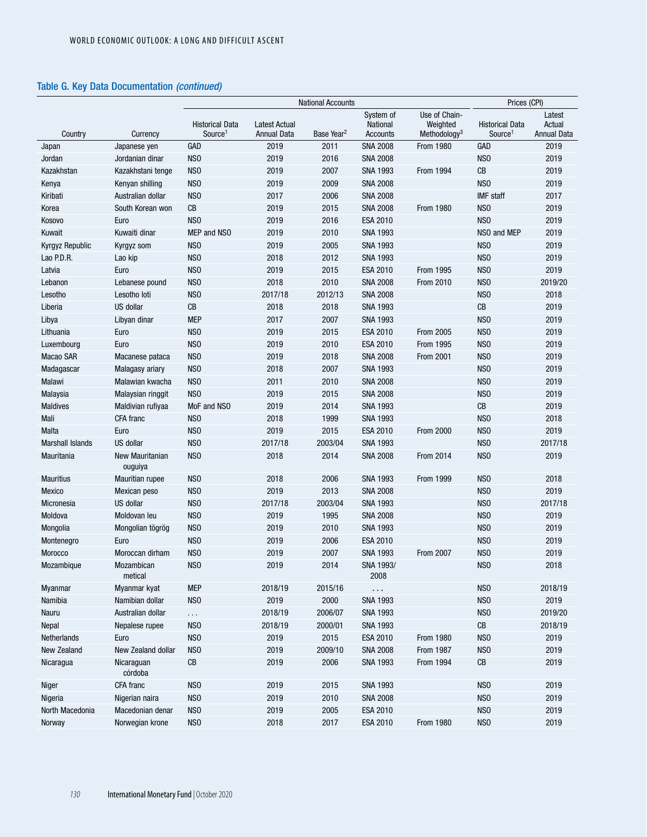|                         |                            | <b>National Accounts</b>                      |                                     |                        |                                   |                                                       | Prices (CPI)                                  |                                        |  |
|-------------------------|----------------------------|-----------------------------------------------|-------------------------------------|------------------------|-----------------------------------|-------------------------------------------------------|-----------------------------------------------|----------------------------------------|--|
| Country                 | Currency                   | <b>Historical Data</b><br>Source <sup>1</sup> | <b>Latest Actual</b><br>Annual Data | Base Year <sup>2</sup> | System of<br>National<br>Accounts | Use of Chain-<br>Weighted<br>Methodology <sup>3</sup> | <b>Historical Data</b><br>Source <sup>1</sup> | Latest<br>Actual<br><b>Annual Data</b> |  |
| Japan                   | Japanese yen               | <b>GAD</b>                                    | 2019                                | 2011                   | <b>SNA 2008</b>                   | From 1980                                             | GAD                                           | 2019                                   |  |
| Jordan                  | Jordanian dinar            | NS <sub>0</sub>                               | 2019                                | 2016                   | <b>SNA 2008</b>                   |                                                       | N <sub>SO</sub>                               | 2019                                   |  |
| Kazakhstan              | Kazakhstani tenge          | NS <sub>0</sub>                               | 2019                                | 2007                   | <b>SNA 1993</b>                   | From 1994                                             | CB                                            | 2019                                   |  |
| Kenya                   | Kenyan shilling            | NS <sub>0</sub>                               | 2019                                | 2009                   | <b>SNA 2008</b>                   |                                                       | NS <sub>0</sub>                               | 2019                                   |  |
| Kiribati                | Australian dollar          | NS <sub>0</sub>                               | 2017                                | 2006                   | <b>SNA 2008</b>                   |                                                       | <b>IMF</b> staff                              | 2017                                   |  |
| Korea                   | South Korean won           | CВ                                            | 2019                                | 2015                   | <b>SNA 2008</b>                   | <b>From 1980</b>                                      | NS <sub>0</sub>                               | 2019                                   |  |
| Kosovo                  | Euro                       | NS <sub>0</sub>                               | 2019                                | 2016                   | <b>ESA 2010</b>                   |                                                       | NS <sub>0</sub>                               | 2019                                   |  |
| Kuwait                  | Kuwaiti dinar              | MEP and NSO                                   | 2019                                | 2010                   | <b>SNA 1993</b>                   |                                                       | NSO and MEP                                   | 2019                                   |  |
| Kyrgyz Republic         | Kyrgyz som                 | NS <sub>0</sub>                               | 2019                                | 2005                   | <b>SNA 1993</b>                   |                                                       | NS <sub>0</sub>                               | 2019                                   |  |
| Lao P.D.R.              | Lao kip                    | NS <sub>0</sub>                               | 2018                                | 2012                   | <b>SNA 1993</b>                   |                                                       | N <sub>SO</sub>                               | 2019                                   |  |
| Latvia                  | Euro                       | NS <sub>0</sub>                               | 2019                                | 2015                   | ESA 2010                          | From 1995                                             | N <sub>SO</sub>                               | 2019                                   |  |
| Lebanon                 | Lebanese pound             | NS <sub>0</sub>                               | 2018                                | 2010                   | <b>SNA 2008</b>                   | From 2010                                             | N <sub>SO</sub>                               | 2019/20                                |  |
| Lesotho                 | Lesotho loti               | NS <sub>0</sub>                               | 2017/18                             | 2012/13                | <b>SNA 2008</b>                   |                                                       | N <sub>SO</sub>                               | 2018                                   |  |
| Liberia                 | US dollar                  | CB                                            | 2018                                | 2018                   | <b>SNA 1993</b>                   |                                                       | CB                                            | 2019                                   |  |
| Libya                   | Libyan dinar               | <b>MEP</b>                                    | 2017                                | 2007                   | <b>SNA 1993</b>                   |                                                       | N <sub>SO</sub>                               | 2019                                   |  |
| Lithuania               | Euro                       | N <sub>SO</sub>                               | 2019                                | 2015                   | ESA 2010                          | From 2005                                             | N <sub>SO</sub>                               | 2019                                   |  |
| Luxembourg              | Euro                       | NS <sub>0</sub>                               | 2019                                | 2010                   | ESA 2010                          | <b>From 1995</b>                                      | N <sub>SO</sub>                               | 2019                                   |  |
| Macao SAR               | Macanese pataca            | NS <sub>0</sub>                               | 2019                                | 2018                   | <b>SNA 2008</b>                   | <b>From 2001</b>                                      | N <sub>SO</sub>                               | 2019                                   |  |
| Madagascar              | Malagasy ariary            | NS <sub>0</sub>                               | 2018                                | 2007                   | <b>SNA 1993</b>                   |                                                       | N <sub>SO</sub>                               | 2019                                   |  |
| Malawi                  | Malawian kwacha            | NS <sub>0</sub>                               | 2011                                | 2010                   | <b>SNA 2008</b>                   |                                                       | N <sub>SO</sub>                               | 2019                                   |  |
| Malaysia                | Malaysian ringgit          | NS <sub>0</sub>                               | 2019                                | 2015                   | <b>SNA 2008</b>                   |                                                       | N <sub>SO</sub>                               | 2019                                   |  |
| <b>Maldives</b>         | Maldivian rufiyaa          | MoF and NSO                                   | 2019                                | 2014                   | <b>SNA 1993</b>                   |                                                       | CB                                            | 2019                                   |  |
| Mali                    | CFA franc                  | NS <sub>0</sub>                               | 2018                                | 1999                   | <b>SNA 1993</b>                   |                                                       | N <sub>SO</sub>                               | 2018                                   |  |
| Malta                   | Euro                       | NS <sub>0</sub>                               | 2019                                | 2015                   | ESA 2010                          | <b>From 2000</b>                                      | NS <sub>0</sub>                               | 2019                                   |  |
| <b>Marshall Islands</b> | <b>US dollar</b>           | NS <sub>0</sub>                               | 2017/18                             | 2003/04                | <b>SNA 1993</b>                   |                                                       | NS <sub>0</sub>                               | 2017/18                                |  |
| Mauritania              | New Mauritanian<br>ouguiya | N <sub>SO</sub>                               | 2018                                | 2014                   | <b>SNA 2008</b>                   | <b>From 2014</b>                                      | N <sub>SO</sub>                               | 2019                                   |  |
| <b>Mauritius</b>        | Mauritian rupee            | NS <sub>0</sub>                               | 2018                                | 2006                   | <b>SNA 1993</b>                   | From 1999                                             | N <sub>SO</sub>                               | 2018                                   |  |
| Mexico                  | Mexican peso               | NS <sub>0</sub>                               | 2019                                | 2013                   | <b>SNA 2008</b>                   |                                                       | N <sub>SO</sub>                               | 2019                                   |  |
| Micronesia              | US dollar                  | NS <sub>0</sub>                               | 2017/18                             | 2003/04                | <b>SNA 1993</b>                   |                                                       | N <sub>SO</sub>                               | 2017/18                                |  |
| Moldova                 | Moldovan leu               | NS <sub>0</sub>                               | 2019                                | 1995                   | <b>SNA 2008</b>                   |                                                       | N <sub>SO</sub>                               | 2019                                   |  |
| Mongolia                | Mongolian tögrög           | N <sub>S</sub> O                              | 2019                                | 2010                   | <b>SNA 1993</b>                   |                                                       | N <sub>SO</sub>                               | 2019                                   |  |
| Montenegro              | Euro                       | NS <sub>0</sub>                               | 2019                                | 2006                   | <b>ESA 2010</b>                   |                                                       | N <sub>SO</sub>                               | 2019                                   |  |
| <b>Morocco</b>          | Moroccan dirham            | NS <sub>0</sub>                               | 2019                                | 2007                   | <b>SNA 1993</b>                   | <b>From 2007</b>                                      | NS <sub>0</sub>                               | 2019                                   |  |
| Mozambique              | Mozambican<br>metical      | NS <sub>0</sub>                               | 2019                                | 2014                   | SNA 1993/<br>2008                 |                                                       | NS <sub>0</sub>                               | 2018                                   |  |
| Myanmar                 | Myanmar kyat               | <b>MEP</b>                                    | 2018/19                             | 2015/16                | $\cdots$                          |                                                       | NS <sub>0</sub>                               | 2018/19                                |  |
| Namibia                 | Namibian dollar            | NS <sub>0</sub>                               | 2019                                | 2000                   | <b>SNA 1993</b>                   |                                                       | NS <sub>0</sub>                               | 2019                                   |  |
| Nauru                   | Australian dollar          | $\cdots$                                      | 2018/19                             | 2006/07                | <b>SNA 1993</b>                   |                                                       | NS <sub>0</sub>                               | 2019/20                                |  |
| Nepal                   | Nepalese rupee             | NS <sub>0</sub>                               | 2018/19                             | 2000/01                | <b>SNA 1993</b>                   |                                                       | CB                                            | 2018/19                                |  |
| Netherlands             | Euro                       | NSO                                           | 2019                                | 2015                   | ESA 2010                          | <b>From 1980</b>                                      | N <sub>SO</sub>                               | 2019                                   |  |
| New Zealand             | New Zealand dollar         | NS <sub>0</sub>                               | 2019                                | 2009/10                | <b>SNA 2008</b>                   | <b>From 1987</b>                                      | NS <sub>0</sub>                               | 2019                                   |  |
| Nicaragua               | Nicaraguan<br>córdoba      | ${\rm CB}$                                    | 2019                                | 2006                   | <b>SNA 1993</b>                   | From 1994                                             | CB                                            | 2019                                   |  |
| Niger                   | CFA franc                  | NSO                                           | 2019                                | 2015                   | <b>SNA 1993</b>                   |                                                       | NS <sub>0</sub>                               | 2019                                   |  |
| Nigeria                 | Nigerian naira             | NS <sub>0</sub>                               | 2019                                | 2010                   | <b>SNA 2008</b>                   |                                                       | NS <sub>0</sub>                               | 2019                                   |  |
| North Macedonia         | Macedonian denar           | NS <sub>0</sub>                               | 2019                                | 2005                   | ESA 2010                          |                                                       | NS <sub>0</sub>                               | 2019                                   |  |
| Norway                  | Norwegian krone            | NS <sub>0</sub>                               | 2018                                | 2017                   | ESA 2010                          | From 1980                                             | NS <sub>0</sub>                               | 2019                                   |  |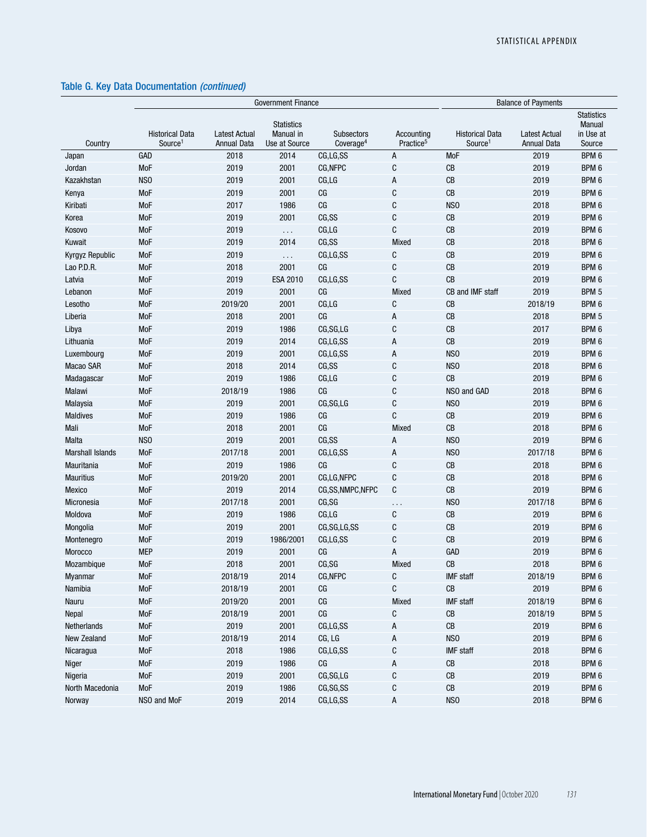|                         |                                               |                                            | <b>Government Finance</b>                       |                                            |                                     | <b>Balance of Payments</b>                    |                                            |                                                    |
|-------------------------|-----------------------------------------------|--------------------------------------------|-------------------------------------------------|--------------------------------------------|-------------------------------------|-----------------------------------------------|--------------------------------------------|----------------------------------------------------|
| Country                 | <b>Historical Data</b><br>Source <sup>1</sup> | <b>Latest Actual</b><br><b>Annual Data</b> | <b>Statistics</b><br>Manual in<br>Use at Source | <b>Subsectors</b><br>Coverage <sup>4</sup> | Accounting<br>Practice <sup>5</sup> | <b>Historical Data</b><br>Source <sup>1</sup> | <b>Latest Actual</b><br><b>Annual Data</b> | <b>Statistics</b><br>Manual<br>in Use at<br>Source |
| Japan                   | GAD                                           | 2018                                       | 2014                                            | CG,LG,SS                                   | A                                   | <b>MoF</b>                                    | 2019                                       | BPM 6                                              |
| Jordan                  | MoF                                           | 2019                                       | 2001                                            | CG, NFPC                                   | C                                   | CB                                            | 2019                                       | BPM 6                                              |
| Kazakhstan              | NS <sub>0</sub>                               | 2019                                       | 2001                                            | CG,LG                                      | Α                                   | CB                                            | 2019                                       | BPM <sub>6</sub>                                   |
| Kenya                   | <b>MoF</b>                                    | 2019                                       | 2001                                            | СG                                         | C                                   | CB                                            | 2019                                       | BPM <sub>6</sub>                                   |
| Kiribati                | <b>MoF</b>                                    | 2017                                       | 1986                                            | CG                                         | C                                   | NS <sub>0</sub>                               | 2018                                       | BPM 6                                              |
| Korea                   | <b>MoF</b>                                    | 2019                                       | 2001                                            | CG,SS                                      | C                                   | CB                                            | 2019                                       | BPM 6                                              |
| Kosovo                  | <b>MoF</b>                                    | 2019                                       | $\sim$ .                                        | CG,LG                                      | C                                   | CB                                            | 2019                                       | BPM 6                                              |
| Kuwait                  | <b>MoF</b>                                    | 2019                                       | 2014                                            | CG,SS                                      | Mixed                               | CB                                            | 2018                                       | BPM 6                                              |
| Kyrgyz Republic         | MoF                                           | 2019                                       | $\sim$ $\sim$ $\sim$                            | CG,LG,SS                                   | C                                   | CB                                            | 2019                                       | BPM 6                                              |
| Lao P.D.R.              | MoF                                           | 2018                                       | 2001                                            | CG                                         | С                                   | CB                                            | 2019                                       | BPM 6                                              |
| Latvia                  | <b>MoF</b>                                    | 2019                                       | ESA 2010                                        | CG,LG,SS                                   | C                                   | CB                                            | 2019                                       | BPM 6                                              |
| Lebanon                 | <b>MoF</b>                                    | 2019                                       | 2001                                            | CG                                         | Mixed                               | CB and IMF staff                              | 2019                                       | BPM 5                                              |
| Lesotho                 | <b>MoF</b>                                    | 2019/20                                    | 2001                                            | CG,LG                                      | C                                   | CB                                            | 2018/19                                    | BPM 6                                              |
| Liberia                 | MoF                                           | 2018                                       | 2001                                            | CG                                         | A                                   | CB                                            | 2018                                       | BPM 5                                              |
| Libya                   | <b>MoF</b>                                    | 2019                                       | 1986                                            | CG, SG, LG                                 | C                                   | CB                                            | 2017                                       | BPM 6                                              |
| Lithuania               | <b>MoF</b>                                    | 2019                                       | 2014                                            | CG.LG.SS                                   | Α                                   | CB                                            | 2019                                       | BPM 6                                              |
| Luxembourg              | <b>MoF</b>                                    | 2019                                       | 2001                                            | CG,LG,SS                                   | A                                   | NS <sub>0</sub>                               | 2019                                       | BPM 6                                              |
| Macao SAR               | <b>MoF</b>                                    | 2018                                       | 2014                                            | CG,SS                                      | C                                   | NS <sub>O</sub>                               | 2018                                       | BPM 6                                              |
| Madagascar              | <b>MoF</b>                                    | 2019                                       | 1986                                            | CG,LG                                      | C                                   | CB                                            | 2019                                       | BPM 6                                              |
| Malawi                  | <b>MoF</b>                                    | 2018/19                                    | 1986                                            | CG                                         | C                                   | NSO and GAD                                   | 2018                                       | BPM 6                                              |
| Malaysia                | <b>MoF</b>                                    | 2019                                       | 2001                                            | CG, SG, LG                                 | C                                   | NS <sub>0</sub>                               | 2019                                       | BPM 6                                              |
| <b>Maldives</b>         | <b>MoF</b>                                    | 2019                                       | 1986                                            | CG                                         | C                                   | CB                                            | 2019                                       | BPM 6                                              |
| Mali                    | <b>MoF</b>                                    | 2018                                       | 2001                                            | CG                                         | Mixed                               | CB                                            | 2018                                       | BPM 6                                              |
| Malta                   | NS <sub>0</sub>                               | 2019                                       | 2001                                            | CG,SS                                      | Α                                   | NS <sub>0</sub>                               | 2019                                       | BPM 6                                              |
| <b>Marshall Islands</b> | <b>MoF</b>                                    | 2017/18                                    | 2001                                            | CG,LG,SS                                   | Α                                   | NS <sub>0</sub>                               | 2017/18                                    | BPM <sub>6</sub>                                   |
| Mauritania              | <b>MoF</b>                                    | 2019                                       | 1986                                            | CG                                         | C                                   | CB                                            | 2018                                       | BPM <sub>6</sub>                                   |
| <b>Mauritius</b>        | <b>MoF</b>                                    | 2019/20                                    | 2001                                            | CG,LG,NFPC                                 | C                                   | CB                                            | 2018                                       | BPM 6                                              |
| Mexico                  | <b>MoF</b>                                    | 2019                                       | 2014                                            | CG,SS,NMPC,NFPC                            | C                                   | CB                                            | 2019                                       | BPM 6                                              |
| Micronesia              | MoF                                           | 2017/18                                    | 2001                                            | CG, SG                                     | .                                   | NS <sub>0</sub>                               | 2017/18                                    | BPM 6                                              |
| Moldova                 | <b>MoF</b>                                    | 2019                                       | 1986                                            | CG,LG                                      | C                                   | CB                                            | 2019                                       | BPM 6                                              |
| Mongolia                | <b>MoF</b>                                    | 2019                                       | 2001                                            | CG,SG,LG,SS                                | C                                   | CB                                            | 2019                                       | BPM 6                                              |
| Montenegro              | MoF                                           | 2019                                       | 1986/2001                                       | CG,LG,SS                                   | C                                   | CB                                            | 2019                                       | BPM 6                                              |
| Morocco                 | <b>MEP</b>                                    | 2019                                       | 2001                                            | CG                                         | A                                   | GAD                                           | 2019                                       | BPM 6                                              |
| Mozambique              | MoF                                           | 2018                                       | 2001                                            | CG, SG                                     | Mixed                               | CB                                            | 2018                                       | BPM 6                                              |
| Myanmar                 | MoF                                           | 2018/19                                    | 2014                                            | CG, NFPC                                   | С                                   | <b>IMF</b> staff                              | 2018/19                                    | BPM 6                                              |
| Namibia                 | MoF                                           | 2018/19                                    | 2001                                            | CG                                         | С                                   | $\mathsf{CB}$                                 | 2019                                       | BPM 6                                              |
| Nauru                   | MoF                                           | 2019/20                                    | 2001                                            | CG                                         | Mixed                               | IMF staff                                     | 2018/19                                    | BPM 6                                              |
| Nepal                   | MoF                                           | 2018/19                                    | 2001                                            | CG                                         | C                                   | ${\rm CB}$                                    | 2018/19                                    | BPM 5                                              |
| Netherlands             | MoF                                           | 2019                                       | 2001                                            | CG,LG,SS                                   | А                                   | ${\rm CB}$                                    | 2019                                       | BPM 6                                              |
| New Zealand             | MoF                                           | 2018/19                                    | 2014                                            | CG, LG                                     | А                                   | NS <sub>0</sub>                               | 2019                                       | BPM 6                                              |
| Nicaragua               | MoF                                           | 2018                                       | 1986                                            | CG,LG,SS                                   | C                                   | <b>IMF</b> staff                              | 2018                                       | BPM 6                                              |
| Niger                   | MoF                                           | 2019                                       | 1986                                            | CG                                         | А                                   | ${\rm CB}$                                    | 2018                                       | BPM 6                                              |
| Nigeria                 | MoF                                           | 2019                                       | 2001                                            | CG, SG, LG                                 | С                                   | ${\rm CB}$                                    | 2019                                       | BPM 6                                              |
| North Macedonia         | MoF                                           | 2019                                       | 1986                                            | CG, SG, SS                                 | С                                   | ${\rm CB}$                                    | 2019                                       | BPM 6                                              |
| Norway                  | NSO and MoF                                   | 2019                                       | 2014                                            | CG,LG,SS                                   | А                                   | NS <sub>0</sub>                               | 2018                                       | BPM 6                                              |
|                         |                                               |                                            |                                                 |                                            |                                     |                                               |                                            |                                                    |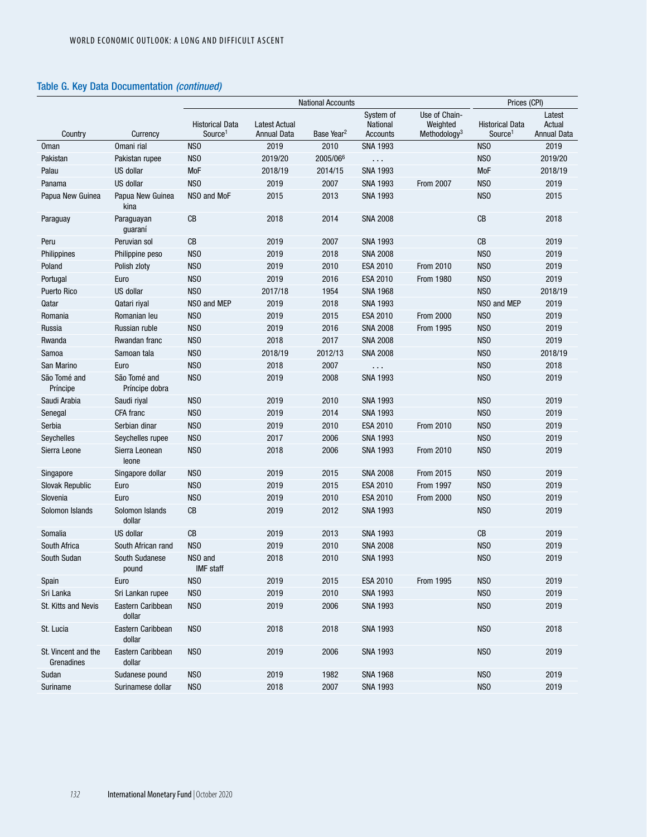|                                   |                                | <b>National Accounts</b>                      |                                            |                        |                                   | Prices (CPI)                                          |                                               |                                        |
|-----------------------------------|--------------------------------|-----------------------------------------------|--------------------------------------------|------------------------|-----------------------------------|-------------------------------------------------------|-----------------------------------------------|----------------------------------------|
| Country                           | Currency                       | <b>Historical Data</b><br>Source <sup>1</sup> | <b>Latest Actual</b><br><b>Annual Data</b> | Base Year <sup>2</sup> | System of<br>National<br>Accounts | Use of Chain-<br>Weighted<br>Methodology <sup>3</sup> | <b>Historical Data</b><br>Source <sup>1</sup> | Latest<br>Actual<br><b>Annual Data</b> |
| <b>Oman</b>                       | Omani rial                     | NS <sub>0</sub>                               | 2019                                       | 2010                   | <b>SNA 1993</b>                   |                                                       | NS <sub>0</sub>                               | 2019                                   |
| Pakistan                          | Pakistan rupee                 | NS <sub>0</sub>                               | 2019/20                                    | 2005/066               | $\sim$ $\sim$                     |                                                       | NS <sub>0</sub>                               | 2019/20                                |
| Palau                             | US dollar                      | MoF                                           | 2018/19                                    | 2014/15                | <b>SNA 1993</b>                   |                                                       | MoF                                           | 2018/19                                |
| Panama                            | US dollar                      | NS <sub>0</sub>                               | 2019                                       | 2007                   | <b>SNA 1993</b>                   | <b>From 2007</b>                                      | NS <sub>0</sub>                               | 2019                                   |
| Papua New Guinea                  | Papua New Guinea<br>kina       | NSO and MoF                                   | 2015                                       | 2013                   | <b>SNA 1993</b>                   |                                                       | NS <sub>0</sub>                               | 2015                                   |
| Paraguay                          | Paraguayan<br>guaraní          | CB                                            | 2018                                       | 2014                   | <b>SNA 2008</b>                   |                                                       | CB                                            | 2018                                   |
| Peru                              | Peruvian sol                   | $\mathsf{CB}$                                 | 2019                                       | 2007                   | <b>SNA 1993</b>                   |                                                       | CB                                            | 2019                                   |
| Philippines                       | Philippine peso                | NS <sub>0</sub>                               | 2019                                       | 2018                   | <b>SNA 2008</b>                   |                                                       | NS <sub>0</sub>                               | 2019                                   |
| Poland                            | Polish zloty                   | NS <sub>0</sub>                               | 2019                                       | 2010                   | ESA 2010                          | From 2010                                             | NS <sub>0</sub>                               | 2019                                   |
| Portugal                          | Euro                           | NS <sub>0</sub>                               | 2019                                       | 2016                   | ESA 2010                          | From 1980                                             | NS <sub>0</sub>                               | 2019                                   |
| Puerto Rico                       | US dollar                      | NS <sub>0</sub>                               | 2017/18                                    | 1954                   | <b>SNA 1968</b>                   |                                                       | NS <sub>0</sub>                               | 2018/19                                |
| Qatar                             | Qatari riyal                   | NSO and MEP                                   | 2019                                       | 2018                   | <b>SNA 1993</b>                   |                                                       | NSO and MEP                                   | 2019                                   |
| Romania                           | Romanian leu                   | NS <sub>0</sub>                               | 2019                                       | 2015                   | ESA 2010                          | <b>From 2000</b>                                      | NS <sub>0</sub>                               | 2019                                   |
| Russia                            | Russian ruble                  | NS <sub>0</sub>                               | 2019                                       | 2016                   | <b>SNA 2008</b>                   | From 1995                                             | NS <sub>0</sub>                               | 2019                                   |
| Rwanda                            | Rwandan franc                  | NS <sub>0</sub>                               | 2018                                       | 2017                   | <b>SNA 2008</b>                   |                                                       | NS <sub>0</sub>                               | 2019                                   |
| Samoa                             | Samoan tala                    | NS <sub>0</sub>                               | 2018/19                                    | 2012/13                | <b>SNA 2008</b>                   |                                                       | NS <sub>0</sub>                               | 2018/19                                |
| San Marino                        | Euro                           | NS <sub>0</sub>                               | 2018                                       | 2007                   | $\sim$ $\sim$                     |                                                       | N <sub>SO</sub>                               | 2018                                   |
| São Tomé and<br>Príncipe          | São Tomé and<br>Príncipe dobra | NS <sub>0</sub>                               | 2019                                       | 2008                   | <b>SNA 1993</b>                   |                                                       | NS <sub>0</sub>                               | 2019                                   |
| Saudi Arabia                      | Saudi riyal                    | NS <sub>0</sub>                               | 2019                                       | 2010                   | <b>SNA 1993</b>                   |                                                       | NS <sub>0</sub>                               | 2019                                   |
| Senegal                           | <b>CFA</b> franc               | NS <sub>0</sub>                               | 2019                                       | 2014                   | <b>SNA 1993</b>                   |                                                       | NS <sub>0</sub>                               | 2019                                   |
| Serbia                            | Serbian dinar                  | NS <sub>0</sub>                               | 2019                                       | 2010                   | ESA 2010                          | From 2010                                             | NS <sub>0</sub>                               | 2019                                   |
| Seychelles                        | Seychelles rupee               | NS <sub>0</sub>                               | 2017                                       | 2006                   | <b>SNA 1993</b>                   |                                                       | NS <sub>0</sub>                               | 2019                                   |
| Sierra Leone                      | Sierra Leonean<br>leone        | NS <sub>0</sub>                               | 2018                                       | 2006                   | <b>SNA 1993</b>                   | From 2010                                             | NS <sub>0</sub>                               | 2019                                   |
| Singapore                         | Singapore dollar               | NS <sub>0</sub>                               | 2019                                       | 2015                   | <b>SNA 2008</b>                   | From 2015                                             | NS <sub>0</sub>                               | 2019                                   |
| Slovak Republic                   | Euro                           | NS <sub>0</sub>                               | 2019                                       | 2015                   | ESA 2010                          | From 1997                                             | N <sub>SO</sub>                               | 2019                                   |
| Slovenia                          | Euro                           | NS <sub>0</sub>                               | 2019                                       | 2010                   | ESA 2010                          | <b>From 2000</b>                                      | NS <sub>0</sub>                               | 2019                                   |
| Solomon Islands                   | Solomon Islands<br>dollar      | CB                                            | 2019                                       | 2012                   | <b>SNA 1993</b>                   |                                                       | NS <sub>0</sub>                               | 2019                                   |
| Somalia                           | US dollar                      | $\mathsf{CB}$                                 | 2019                                       | 2013                   | <b>SNA 1993</b>                   |                                                       | CB                                            | 2019                                   |
| South Africa                      | South African rand             | NS <sub>0</sub>                               | 2019                                       | 2010                   | <b>SNA 2008</b>                   |                                                       | NS <sub>0</sub>                               | 2019                                   |
| South Sudan                       | South Sudanese<br>pound        | NSO and<br>IMF staff                          | 2018                                       | 2010                   | <b>SNA 1993</b>                   |                                                       | NS <sub>0</sub>                               | 2019                                   |
| Spain                             | Euro                           | NSO                                           | 2019                                       | 2015                   | ESA 2010                          | From 1995                                             | NS <sub>0</sub>                               | 2019                                   |
| Sri Lanka                         | Sri Lankan rupee               | NS <sub>0</sub>                               | 2019                                       | 2010                   | <b>SNA 1993</b>                   |                                                       | NS <sub>0</sub>                               | 2019                                   |
| St. Kitts and Nevis               | Eastern Caribbean<br>dollar    | NS <sub>0</sub>                               | 2019                                       | 2006                   | <b>SNA 1993</b>                   |                                                       | NS <sub>0</sub>                               | 2019                                   |
| St. Lucia                         | Eastern Caribbean<br>dollar    | NS <sub>0</sub>                               | 2018                                       | 2018                   | <b>SNA 1993</b>                   |                                                       | N <sub>S</sub> O                              | 2018                                   |
| St. Vincent and the<br>Grenadines | Eastern Caribbean<br>dollar    | NS <sub>0</sub>                               | 2019                                       | 2006                   | <b>SNA 1993</b>                   |                                                       | NS <sub>0</sub>                               | 2019                                   |
| Sudan                             | Sudanese pound                 | NS <sub>0</sub>                               | 2019                                       | 1982                   | <b>SNA 1968</b>                   |                                                       | N <sub>SO</sub>                               | 2019                                   |
| Suriname                          | Surinamese dollar              | NS <sub>0</sub>                               | 2018                                       | 2007                   | <b>SNA 1993</b>                   |                                                       | NS <sub>0</sub>                               | 2019                                   |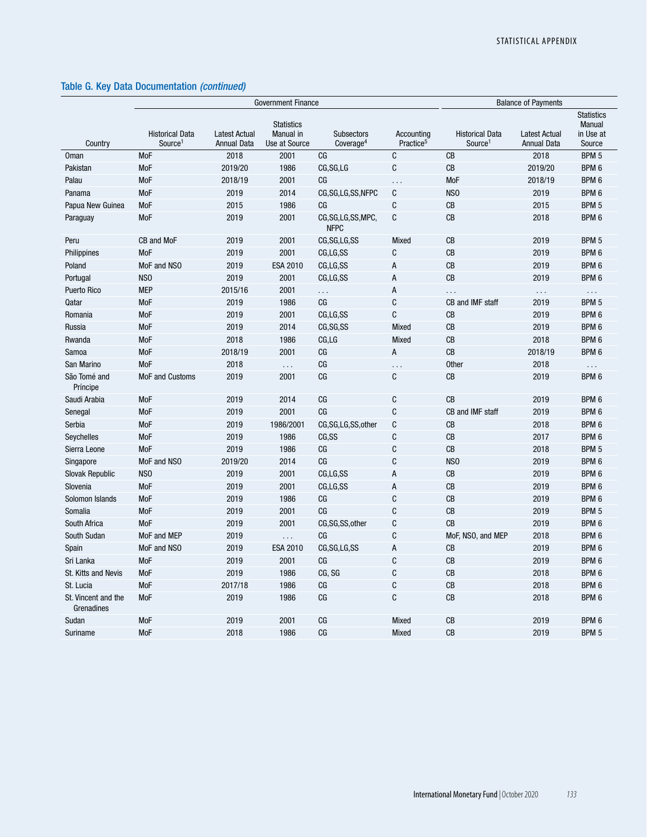|                                   |                                               | <b>Government Finance</b>                  | <b>Balance of Payments</b>                      |                                            |                                     |                                               |                                            |                                                    |
|-----------------------------------|-----------------------------------------------|--------------------------------------------|-------------------------------------------------|--------------------------------------------|-------------------------------------|-----------------------------------------------|--------------------------------------------|----------------------------------------------------|
| Country                           | <b>Historical Data</b><br>Source <sup>1</sup> | <b>Latest Actual</b><br><b>Annual Data</b> | <b>Statistics</b><br>Manual in<br>Use at Source | <b>Subsectors</b><br>Coverage <sup>4</sup> | Accounting<br>Practice <sup>5</sup> | <b>Historical Data</b><br>Source <sup>1</sup> | <b>Latest Actual</b><br><b>Annual Data</b> | <b>Statistics</b><br>Manual<br>in Use at<br>Source |
| <b>Oman</b>                       | <b>MoF</b>                                    | 2018                                       | 2001                                            | CG                                         | C                                   | CB                                            | 2018                                       | BPM 5                                              |
| Pakistan                          | MoF                                           | 2019/20                                    | 1986                                            | CG, SG, LG                                 | $\mathbb{C}$                        | CB                                            | 2019/20                                    | BPM 6                                              |
| Palau                             | <b>MoF</b>                                    | 2018/19                                    | 2001                                            | C <sub>G</sub>                             | .                                   | <b>MoF</b>                                    | 2018/19                                    | BPM <sub>6</sub>                                   |
| Panama                            | <b>MoF</b>                                    | 2019                                       | 2014                                            | CG,SG,LG,SS,NFPC                           | C                                   | N <sub>SO</sub>                               | 2019                                       | BPM 6                                              |
| Papua New Guinea                  | <b>MoF</b>                                    | 2015                                       | 1986                                            | CG                                         | C                                   | CB                                            | 2015                                       | BPM 5                                              |
| Paraguay                          | <b>MoF</b>                                    | 2019                                       | 2001                                            | CG,SG,LG,SS,MPC,<br><b>NFPC</b>            | C                                   | <b>CB</b>                                     | 2018                                       | BPM <sub>6</sub>                                   |
| Peru                              | CB and MoF                                    | 2019                                       | 2001                                            | CG.SG.LG.SS                                | Mixed                               | CB                                            | 2019                                       | BPM <sub>5</sub>                                   |
| Philippines                       | <b>MoF</b>                                    | 2019                                       | 2001                                            | CG,LG,SS                                   | C                                   | CB                                            | 2019                                       | BPM <sub>6</sub>                                   |
| Poland                            | MoF and NSO                                   | 2019                                       | ESA 2010                                        | CG,LG,SS                                   | A                                   | CB                                            | 2019                                       | BPM <sub>6</sub>                                   |
| Portugal                          | NS <sub>0</sub>                               | 2019                                       | 2001                                            | CG,LG,SS                                   | A                                   | CB                                            | 2019                                       | BPM <sub>6</sub>                                   |
| Puerto Rico                       | <b>MEP</b>                                    | 2015/16                                    | 2001                                            | .                                          | A                                   | .                                             | $\cdots$                                   | $\cdots$                                           |
| Qatar                             | MoF                                           | 2019                                       | 1986                                            | CG                                         | C                                   | CB and IMF staff                              | 2019                                       | BPM <sub>5</sub>                                   |
| Romania                           | MoF                                           | 2019                                       | 2001                                            | CG.LG.SS                                   | C                                   | CB                                            | 2019                                       | BPM <sub>6</sub>                                   |
| Russia                            | MoF                                           | 2019                                       | 2014                                            | CG.SG.SS                                   | Mixed                               | CB                                            | 2019                                       | BPM <sub>6</sub>                                   |
| Rwanda                            | MoF                                           | 2018                                       | 1986                                            | CG,LG                                      | Mixed                               | <b>CB</b>                                     | 2018                                       | BPM <sub>6</sub>                                   |
| Samoa                             | <b>MoF</b>                                    | 2018/19                                    | 2001                                            | CG                                         | A                                   | CB                                            | 2018/19                                    | BPM <sub>6</sub>                                   |
| San Marino                        | <b>MoF</b>                                    | 2018                                       | $\sim$ $\sim$                                   | CG                                         | .                                   | <b>Other</b>                                  | 2018                                       | $\sim$ $\sim$                                      |
| São Tomé and<br>Príncipe          | <b>MoF and Customs</b>                        | 2019                                       | 2001                                            | CG                                         | C                                   | CB                                            | 2019                                       | BPM 6                                              |
| Saudi Arabia                      | MoF                                           | 2019                                       | 2014                                            | CG                                         | C                                   | CB                                            | 2019                                       | BPM <sub>6</sub>                                   |
| Senegal                           | MoF                                           | 2019                                       | 2001                                            | CG                                         | C                                   | CB and IMF staff                              | 2019                                       | BPM 6                                              |
| Serbia                            | <b>MoF</b>                                    | 2019                                       | 1986/2001                                       | CG,SG,LG,SS,other                          | C                                   | CB                                            | 2018                                       | BPM <sub>6</sub>                                   |
| Seychelles                        | <b>MoF</b>                                    | 2019                                       | 1986                                            | CG,SS                                      | C                                   | CB                                            | 2017                                       | BPM <sub>6</sub>                                   |
| Sierra Leone                      | <b>MoF</b>                                    | 2019                                       | 1986                                            | CG                                         | C                                   | CB                                            | 2018                                       | BPM <sub>5</sub>                                   |
| Singapore                         | MoF and NSO                                   | 2019/20                                    | 2014                                            | CG                                         | C                                   | NS <sub>0</sub>                               | 2019                                       | BPM <sub>6</sub>                                   |
| <b>Slovak Republic</b>            | NS <sub>0</sub>                               | 2019                                       | 2001                                            | CG,LG,SS                                   | $\overline{A}$                      | CB                                            | 2019                                       | BPM <sub>6</sub>                                   |
| Slovenia                          | <b>MoF</b>                                    | 2019                                       | 2001                                            | CG.LG.SS                                   | $\overline{A}$                      | CB                                            | 2019                                       | BPM <sub>6</sub>                                   |
| Solomon Islands                   | <b>MoF</b>                                    | 2019                                       | 1986                                            | CG                                         | C                                   | CB                                            | 2019                                       | BPM <sub>6</sub>                                   |
| Somalia                           | <b>MoF</b>                                    | 2019                                       | 2001                                            | CG                                         | C                                   | CB                                            | 2019                                       | BPM <sub>5</sub>                                   |
| South Africa                      | <b>MoF</b>                                    | 2019                                       | 2001                                            | CG,SG,SS,other                             | C                                   | CB                                            | 2019                                       | BPM <sub>6</sub>                                   |
| South Sudan                       | MoF and MEP                                   | 2019                                       | .                                               | CG                                         | C                                   | MoF, NSO, and MEP                             | 2018                                       | BPM <sub>6</sub>                                   |
| Spain                             | MoF and NSO                                   | 2019                                       | ESA 2010                                        | CG.SG.LG.SS                                | $\overline{A}$                      | CB                                            | 2019                                       | BPM <sub>6</sub>                                   |
| Sri Lanka                         | <b>MoF</b>                                    | 2019                                       | 2001                                            | CG                                         | C                                   | CB                                            | 2019                                       | BPM <sub>6</sub>                                   |
| St. Kitts and Nevis               | <b>MoF</b>                                    | 2019                                       | 1986                                            | CG, SG                                     | C                                   | CB                                            | 2018                                       | BPM <sub>6</sub>                                   |
| St. Lucia                         | <b>MoF</b>                                    | 2017/18                                    | 1986                                            | CG                                         | C                                   | CB                                            | 2018                                       | BPM 6                                              |
| St. Vincent and the<br>Grenadines | <b>MoF</b>                                    | 2019                                       | 1986                                            | CG                                         | C                                   | <b>CB</b>                                     | 2018                                       | BPM 6                                              |
| Sudan                             | <b>MoF</b>                                    | 2019                                       | 2001                                            | СG                                         | Mixed                               | CB                                            | 2019                                       | BPM <sub>6</sub>                                   |
| Suriname                          | MoF                                           | 2018                                       | 1986                                            | СG                                         | Mixed                               | CB                                            | 2019                                       | BPM <sub>5</sub>                                   |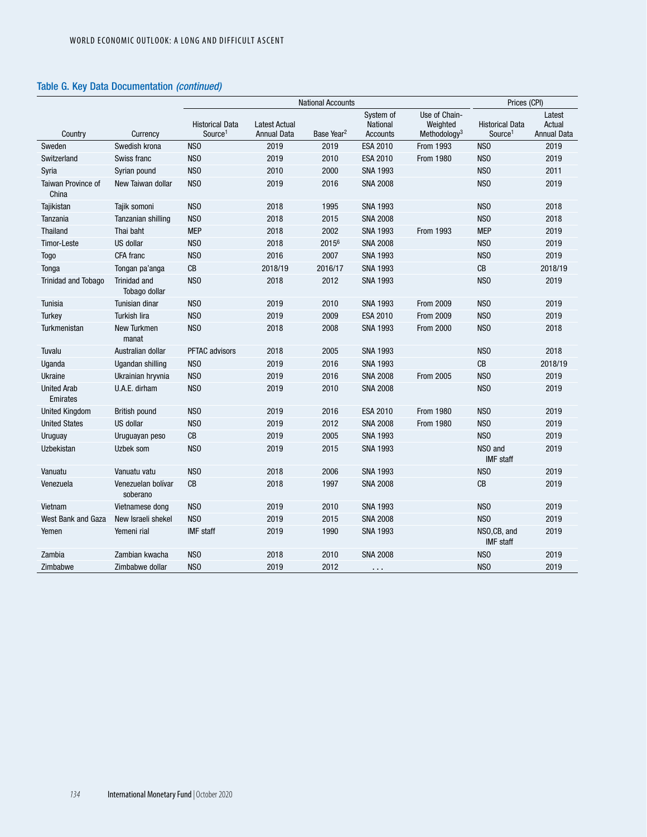|                                |                                | <b>National Accounts</b>                      |                                            |                        |                                                 | Prices (CPI)                                          |                                               |                                        |
|--------------------------------|--------------------------------|-----------------------------------------------|--------------------------------------------|------------------------|-------------------------------------------------|-------------------------------------------------------|-----------------------------------------------|----------------------------------------|
| Country                        | Currency                       | <b>Historical Data</b><br>Source <sup>1</sup> | <b>Latest Actual</b><br><b>Annual Data</b> | Base Year <sup>2</sup> | System of<br><b>National</b><br><b>Accounts</b> | Use of Chain-<br>Weighted<br>Methodology <sup>3</sup> | <b>Historical Data</b><br>Source <sup>1</sup> | Latest<br>Actual<br><b>Annual Data</b> |
| Sweden                         | Swedish krona                  | NS <sub>0</sub>                               | 2019                                       | 2019                   | ESA 2010                                        | From 1993                                             | NS <sub>0</sub>                               | 2019                                   |
| Switzerland                    | Swiss franc                    | NS <sub>0</sub>                               | 2019                                       | 2010                   | <b>ESA 2010</b>                                 | <b>From 1980</b>                                      | NS <sub>0</sub>                               | 2019                                   |
| Syria                          | Syrian pound                   | N <sub>SO</sub>                               | 2010                                       | 2000                   | <b>SNA 1993</b>                                 |                                                       | N <sub>SO</sub>                               | 2011                                   |
| Taiwan Province of<br>China    | New Taiwan dollar              | NS <sub>0</sub>                               | 2019                                       | 2016                   | <b>SNA 2008</b>                                 |                                                       | NS <sub>O</sub>                               | 2019                                   |
| Tajikistan                     | Tajik somoni                   | NS <sub>0</sub>                               | 2018                                       | 1995                   | <b>SNA 1993</b>                                 |                                                       | NS <sub>0</sub>                               | 2018                                   |
| Tanzania                       | Tanzanian shilling             | N <sub>SO</sub>                               | 2018                                       | 2015                   | <b>SNA 2008</b>                                 |                                                       | NS <sub>0</sub>                               | 2018                                   |
| Thailand                       | Thai baht                      | <b>MEP</b>                                    | 2018                                       | 2002                   | <b>SNA 1993</b>                                 | From 1993                                             | <b>MEP</b>                                    | 2019                                   |
| <b>Timor-Leste</b>             | <b>US dollar</b>               | NS <sub>0</sub>                               | 2018                                       | 20156                  | <b>SNA 2008</b>                                 |                                                       | NS <sub>0</sub>                               | 2019                                   |
| <b>Togo</b>                    | CFA franc                      | N <sub>SO</sub>                               | 2016                                       | 2007                   | <b>SNA 1993</b>                                 |                                                       | NS <sub>0</sub>                               | 2019                                   |
| Tonga                          | Tongan pa'anga                 | CB                                            | 2018/19                                    | 2016/17                | <b>SNA 1993</b>                                 |                                                       | CB                                            | 2018/19                                |
| <b>Trinidad and Tobago</b>     | Trinidad and<br>Tobago dollar  | NS <sub>0</sub>                               | 2018                                       | 2012                   | <b>SNA 1993</b>                                 |                                                       | NS <sub>0</sub>                               | 2019                                   |
| Tunisia                        | Tunisian dinar                 | NS <sub>0</sub>                               | 2019                                       | 2010                   | <b>SNA 1993</b>                                 | <b>From 2009</b>                                      | NS <sub>0</sub>                               | 2019                                   |
| Turkey                         | <b>Turkish lira</b>            | NS <sub>0</sub>                               | 2019                                       | 2009                   | ESA 2010                                        | From 2009                                             | NS <sub>O</sub>                               | 2019                                   |
| Turkmenistan                   | New Turkmen<br>manat           | NS <sub>0</sub>                               | 2018                                       | 2008                   | <b>SNA 1993</b>                                 | <b>From 2000</b>                                      | NS <sub>0</sub>                               | 2018                                   |
| Tuvalu                         | Australian dollar              | <b>PFTAC advisors</b>                         | 2018                                       | 2005                   | <b>SNA 1993</b>                                 |                                                       | NS <sub>O</sub>                               | 2018                                   |
| Uganda                         | Ugandan shilling               | NS <sub>0</sub>                               | 2019                                       | 2016                   | <b>SNA 1993</b>                                 |                                                       | CB                                            | 2018/19                                |
| <b>Ukraine</b>                 | Ukrainian hryvnia              | NS <sub>0</sub>                               | 2019                                       | 2016                   | <b>SNA 2008</b>                                 | <b>From 2005</b>                                      | NS <sub>0</sub>                               | 2019                                   |
| <b>United Arab</b><br>Emirates | U.A.E. dirham                  | N <sub>SO</sub>                               | 2019                                       | 2010                   | <b>SNA 2008</b>                                 |                                                       | NS <sub>0</sub>                               | 2019                                   |
| <b>United Kingdom</b>          | British pound                  | NS <sub>0</sub>                               | 2019                                       | 2016                   | <b>ESA 2010</b>                                 | From 1980                                             | NS <sub>0</sub>                               | 2019                                   |
| <b>United States</b>           | US dollar                      | NS <sub>0</sub>                               | 2019                                       | 2012                   | <b>SNA 2008</b>                                 | <b>From 1980</b>                                      | NS <sub>0</sub>                               | 2019                                   |
| Uruguay                        | Uruguayan peso                 | $\mathsf{CB}$                                 | 2019                                       | 2005                   | <b>SNA 1993</b>                                 |                                                       | NS <sub>O</sub>                               | 2019                                   |
| Uzbekistan                     | Uzbek som                      | NS <sub>0</sub>                               | 2019                                       | 2015                   | <b>SNA 1993</b>                                 |                                                       | NSO and<br>IMF staff                          | 2019                                   |
| Vanuatu                        | Vanuatu vatu                   | NS <sub>0</sub>                               | 2018                                       | 2006                   | <b>SNA 1993</b>                                 |                                                       | NS <sub>O</sub>                               | 2019                                   |
| Venezuela                      | Venezuelan bolívar<br>soberano | CB                                            | 2018                                       | 1997                   | <b>SNA 2008</b>                                 |                                                       | CB                                            | 2019                                   |
| Vietnam                        | Vietnamese dong                | NS <sub>0</sub>                               | 2019                                       | 2010                   | <b>SNA 1993</b>                                 |                                                       | NSO                                           | 2019                                   |
| West Bank and Gaza             | New Israeli shekel             | N <sub>SO</sub>                               | 2019                                       | 2015                   | <b>SNA 2008</b>                                 |                                                       | NS <sub>0</sub>                               | 2019                                   |
| Yemen                          | Yemeni rial                    | <b>IMF</b> staff                              | 2019                                       | 1990                   | <b>SNA 1993</b>                                 |                                                       | NSO,CB, and<br><b>IMF</b> staff               | 2019                                   |
| Zambia                         | Zambian kwacha                 | NS <sub>0</sub>                               | 2018                                       | 2010                   | <b>SNA 2008</b>                                 |                                                       | NS <sub>0</sub>                               | 2019                                   |
| Zimbabwe                       | Zimbabwe dollar                | N <sub>SO</sub>                               | 2019                                       | 2012                   | $\cdots$                                        |                                                       | N <sub>SO</sub>                               | 2019                                   |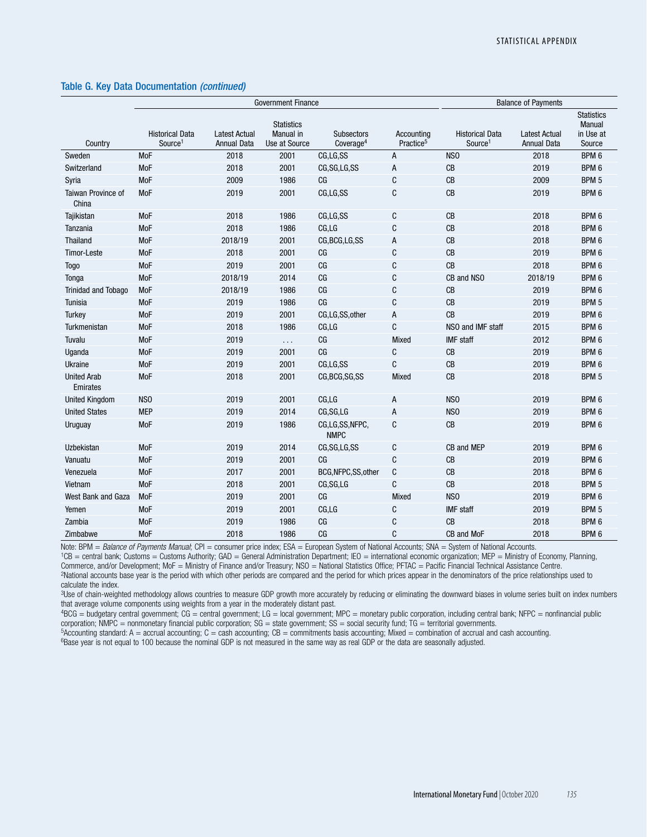|                                | <b>Government Finance</b>                     |                                            |                                                 |                                            |                                     | <b>Balance of Payments</b>                    |                                            |                                                    |
|--------------------------------|-----------------------------------------------|--------------------------------------------|-------------------------------------------------|--------------------------------------------|-------------------------------------|-----------------------------------------------|--------------------------------------------|----------------------------------------------------|
| Country                        | <b>Historical Data</b><br>Source <sup>1</sup> | <b>Latest Actual</b><br><b>Annual Data</b> | <b>Statistics</b><br>Manual in<br>Use at Source | <b>Subsectors</b><br>Coverage <sup>4</sup> | Accounting<br>Practice <sup>5</sup> | <b>Historical Data</b><br>Source <sup>1</sup> | <b>Latest Actual</b><br><b>Annual Data</b> | <b>Statistics</b><br>Manual<br>in Use at<br>Source |
| Sweden                         | MoF                                           | 2018                                       | 2001                                            | CG,LG,SS                                   | A                                   | NS <sub>0</sub>                               | 2018                                       | BPM 6                                              |
| Switzerland                    | MoF                                           | 2018                                       | 2001                                            | CG, SG, LG, SS                             | А                                   | CB                                            | 2019                                       | BPM 6                                              |
| Syria                          | MoF                                           | 2009                                       | 1986                                            | CG                                         | C                                   | CB                                            | 2009                                       | BPM 5                                              |
| Taiwan Province of<br>China    | MoF                                           | 2019                                       | 2001                                            | CG,LG,SS                                   | C                                   | CB                                            | 2019                                       | BPM 6                                              |
| Tajikistan                     | MoF                                           | 2018                                       | 1986                                            | CG,LG,SS                                   | C                                   | CB                                            | 2018                                       | BPM <sub>6</sub>                                   |
| Tanzania                       | <b>MoF</b>                                    | 2018                                       | 1986                                            | CG,LG                                      | C                                   | CB                                            | 2018                                       | BPM <sub>6</sub>                                   |
| Thailand                       | MoF                                           | 2018/19                                    | 2001                                            | CG, BCG, LG, SS                            | Α                                   | CB                                            | 2018                                       | BPM 6                                              |
| Timor-Leste                    | MoF                                           | 2018                                       | 2001                                            | CG                                         | C                                   | CB                                            | 2019                                       | BPM 6                                              |
| <b>Togo</b>                    | MoF                                           | 2019                                       | 2001                                            | CG                                         | C                                   | CB                                            | 2018                                       | BPM 6                                              |
| Tonga                          | MoF                                           | 2018/19                                    | 2014                                            | C G                                        | C                                   | CB and NSO                                    | 2018/19                                    | BPM 6                                              |
| <b>Trinidad and Tobago</b>     | <b>MoF</b>                                    | 2018/19                                    | 1986                                            | CG                                         | C                                   | CB                                            | 2019                                       | BPM 6                                              |
| Tunisia                        | MoF                                           | 2019                                       | 1986                                            | CG                                         | C                                   | CB                                            | 2019                                       | BPM 5                                              |
| Turkey                         | MoF                                           | 2019                                       | 2001                                            | CG,LG,SS,other                             | A                                   | CB                                            | 2019                                       | BPM 6                                              |
| Turkmenistan                   | MoF                                           | 2018                                       | 1986                                            | CG, LG                                     | $\mathbf C$                         | NSO and IMF staff                             | 2015                                       | BPM 6                                              |
| Tuvalu                         | MoF                                           | 2019                                       | $\sim$ $\sim$                                   | C G                                        | Mixed                               | <b>IMF</b> staff                              | 2012                                       | BPM 6                                              |
| Uganda                         | MoF                                           | 2019                                       | 2001                                            | CG                                         | C                                   | CB                                            | 2019                                       | BPM 6                                              |
| Ukraine                        | MoF                                           | 2019                                       | 2001                                            | CG,LG,SS                                   | C                                   | CB                                            | 2019                                       | BPM 6                                              |
| <b>United Arab</b><br>Emirates | MoF                                           | 2018                                       | 2001                                            | CG, BCG, SG, SS                            | Mixed                               | CB                                            | 2018                                       | BPM <sub>5</sub>                                   |
| <b>United Kingdom</b>          | NS <sub>0</sub>                               | 2019                                       | 2001                                            | CG, LG                                     | A                                   | NS <sub>0</sub>                               | 2019                                       | BPM 6                                              |
| <b>United States</b>           | <b>MEP</b>                                    | 2019                                       | 2014                                            | CG, SG, LG                                 | A                                   | NS <sub>0</sub>                               | 2019                                       | BPM 6                                              |
| Uruguay                        | MoF                                           | 2019                                       | 1986                                            | CG,LG,SS,NFPC,<br><b>NMPC</b>              | C                                   | CB                                            | 2019                                       | BPM 6                                              |
| Uzbekistan                     | MoF                                           | 2019                                       | 2014                                            | CG, SG, LG, SS                             | C                                   | CB and MEP                                    | 2019                                       | BPM 6                                              |
| Vanuatu                        | <b>MoF</b>                                    | 2019                                       | 2001                                            | CG                                         | C                                   | CB                                            | 2019                                       | BPM 6                                              |
| Venezuela                      | MoF                                           | 2017                                       | 2001                                            | BCG, NFPC, SS, other                       | $\mathbb{C}$                        | CB                                            | 2018                                       | BPM 6                                              |
| Vietnam                        | MoF                                           | 2018                                       | 2001                                            | CG, SG, LG                                 | C                                   | CB                                            | 2018                                       | BPM <sub>5</sub>                                   |
| West Bank and Gaza             | <b>MoF</b>                                    | 2019                                       | 2001                                            | CG                                         | Mixed                               | N <sub>SO</sub>                               | 2019                                       | BPM 6                                              |
| Yemen                          | <b>MoF</b>                                    | 2019                                       | 2001                                            | CG, LG                                     | C                                   | <b>IMF</b> staff                              | 2019                                       | BPM 5                                              |
| Zambia                         | <b>MoF</b>                                    | 2019                                       | 1986                                            | CG                                         | C                                   | CB                                            | 2018                                       | BPM 6                                              |
| Zimbabwe                       | <b>MoF</b>                                    | 2018                                       | 1986                                            | CG                                         | C                                   | CB and MoF                                    | 2018                                       | BPM 6                                              |

Note: BPM = *Balance of Payments Manual*; CPI = consumer price index; ESA = European System of National Accounts; SNA = System of National Accounts.

1CB = central bank; Customs = Customs Authority; GAD = General Administration Department; IEO = international economic organization; MEP = Ministry of Economy, Planning, Commerce, and/or Development; MoF = Ministry of Finance and/or Treasury; NSO = National Statistics Office; PFTAC = Pacific Financial Technical Assistance Centre.

2National accounts base year is the period with which other periods are compared and the period for which prices appear in the denominators of the price relationships used to calculate the index.

<sup>3</sup>Use of chain-weighted methodology allows countries to measure GDP growth more accurately by reducing or eliminating the downward biases in volume series built on index numbers that average volume components using weights from a year in the moderately distant past.

 $4BCG =$  budgetary central government; CG = central government; LG = local government; MPC = monetary public corporation, including central bank; NFPC = nonfinancial public

corporation; NMPC = nonmonetary financial public corporation; SG = state government; SS = social security fund; TG = territorial governments.

 $5$ Accounting standard: A = accrual accounting; C = cash accounting; CB = commitments basis accounting; Mixed = combination of accrual and cash accounting.

<sup>6</sup>Base year is not equal to 100 because the nominal GDP is not measured in the same way as real GDP or the data are seasonally adjusted.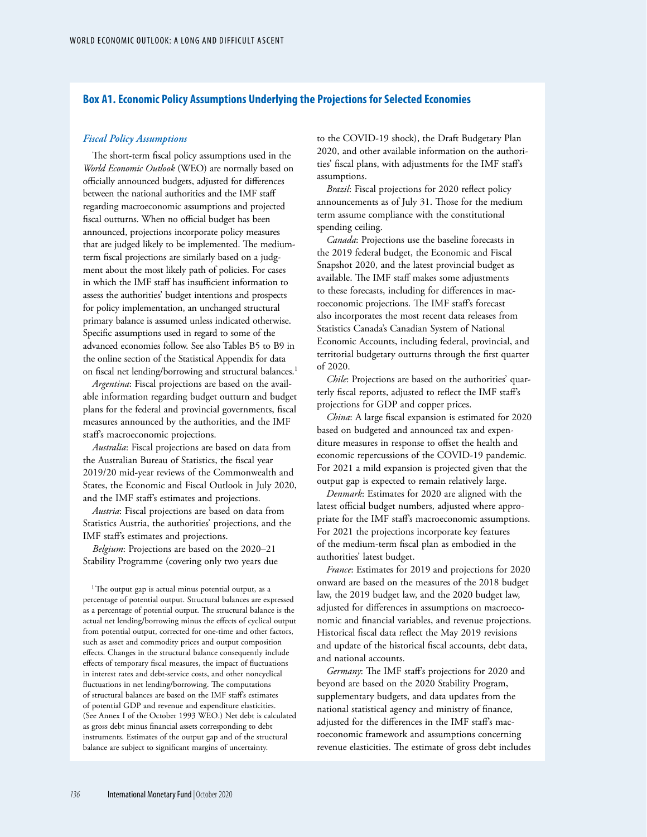#### **Box A1. Economic Policy Assumptions Underlying the Projections for Selected Economies**

#### *Fiscal Policy Assumptions*

The short-term fiscal policy assumptions used in the *World Economic Outlook* (WEO) are normally based on officially announced budgets, adjusted for differences between the national authorities and the IMF staff regarding macroeconomic assumptions and projected fiscal outturns. When no official budget has been announced, projections incorporate policy measures that are judged likely to be implemented. The mediumterm fiscal projections are similarly based on a judgment about the most likely path of policies. For cases in which the IMF staff has insufficient information to assess the authorities' budget intentions and prospects for policy implementation, an unchanged structural primary balance is assumed unless indicated otherwise. Specific assumptions used in regard to some of the advanced economies follow. See also Tables B5 to B9 in the online section of the Statistical Appendix for data on fiscal net lending/borrowing and structural balances.<sup>1</sup>

*Argentina*: Fiscal projections are based on the available information regarding budget outturn and budget plans for the federal and provincial governments, fiscal measures announced by the authorities, and the IMF staff's macroeconomic projections.

*Australia*: Fiscal projections are based on data from the Australian Bureau of Statistics, the fiscal year 2019/20 mid-year reviews of the Commonwealth and States, the Economic and Fiscal Outlook in July 2020, and the IMF staff's estimates and projections.

*Austria*: Fiscal projections are based on data from Statistics Austria, the authorities' projections, and the IMF staff's estimates and projections.

*Belgium*: Projections are based on the 2020–21 Stability Programme (covering only two years due

<sup>1</sup>The output gap is actual minus potential output, as a percentage of potential output. Structural balances are expressed as a percentage of potential output. The structural balance is the actual net lending/borrowing minus the effects of cyclical output from potential output, corrected for one-time and other factors, such as asset and commodity prices and output composition effects. Changes in the structural balance consequently include effects of temporary fiscal measures, the impact of fluctuations in interest rates and debt-service costs, and other noncyclical fluctuations in net lending/borrowing. The computations of structural balances are based on the IMF staff's estimates of potential GDP and revenue and expenditure elasticities. (See Annex I of the October 1993 WEO.) Net debt is calculated as gross debt minus financial assets corresponding to debt instruments. Estimates of the output gap and of the structural balance are subject to significant margins of uncertainty.

to the COVID-19 shock), the Draft Budgetary Plan 2020, and other available information on the authorities' fiscal plans, with adjustments for the IMF staff's assumptions.

*Brazil*: Fiscal projections for 2020 reflect policy announcements as of July 31. Those for the medium term assume compliance with the constitutional spending ceiling.

*Canada*: Projections use the baseline forecasts in the 2019 federal budget, the Economic and Fiscal Snapshot 2020, and the latest provincial budget as available. The IMF staff makes some adjustments to these forecasts, including for differences in macroeconomic projections. The IMF staff's forecast also incorporates the most recent data releases from Statistics Canada's Canadian System of National Economic Accounts, including federal, provincial, and territorial budgetary outturns through the first quarter of 2020.

*Chile*: Projections are based on the authorities' quarterly fiscal reports, adjusted to reflect the IMF staff's projections for GDP and copper prices.

*China*: A large fiscal expansion is estimated for 2020 based on budgeted and announced tax and expenditure measures in response to offset the health and economic repercussions of the COVID-19 pandemic. For 2021 a mild expansion is projected given that the output gap is expected to remain relatively large.

*Denmark*: Estimates for 2020 are aligned with the latest official budget numbers, adjusted where appropriate for the IMF staff's macroeconomic assumptions. For 2021 the projections incorporate key features of the medium-term fiscal plan as embodied in the authorities' latest budget.

*France*: Estimates for 2019 and projections for 2020 onward are based on the measures of the 2018 budget law, the 2019 budget law, and the 2020 budget law, adjusted for differences in assumptions on macroeconomic and financial variables, and revenue projections. Historical fiscal data reflect the May 2019 revisions and update of the historical fiscal accounts, debt data, and national accounts.

*Germany*: The IMF staff's projections for 2020 and beyond are based on the 2020 Stability Program, supplementary budgets, and data updates from the national statistical agency and ministry of finance, adjusted for the differences in the IMF staff's macroeconomic framework and assumptions concerning revenue elasticities. The estimate of gross debt includes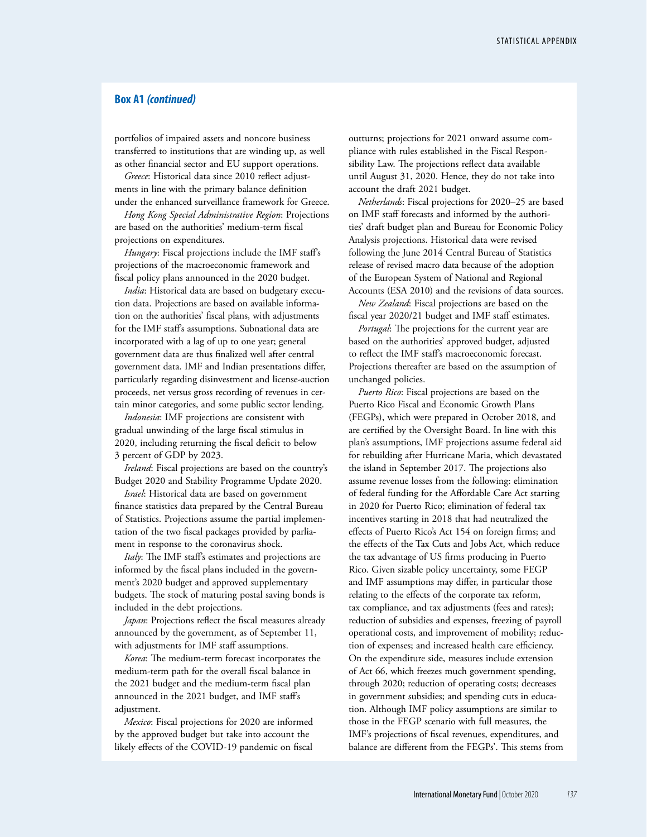### **Box A1** *(continued)*

portfolios of impaired assets and noncore business transferred to institutions that are winding up, as well as other financial sector and EU support operations.

*Greece*: Historical data since 2010 reflect adjustments in line with the primary balance definition under the enhanced surveillance framework for Greece.

*Hong Kong Special Administrative Region*: Projections are based on the authorities' medium-term fiscal projections on expenditures.

*Hungary*: Fiscal projections include the IMF staff's projections of the macroeconomic framework and fiscal policy plans announced in the 2020 budget.

*India*: Historical data are based on budgetary execution data. Projections are based on available information on the authorities' fiscal plans, with adjustments for the IMF staff's assumptions. Subnational data are incorporated with a lag of up to one year; general government data are thus finalized well after central government data. IMF and Indian presentations differ, particularly regarding disinvestment and license-auction proceeds, net versus gross recording of revenues in certain minor categories, and some public sector lending.

*Indonesia*: IMF projections are consistent with gradual unwinding of the large fiscal stimulus in 2020, including returning the fiscal deficit to below 3 percent of GDP by 2023.

*Ireland*: Fiscal projections are based on the country's Budget 2020 and Stability Programme Update 2020.

*Israel*: Historical data are based on government finance statistics data prepared by the Central Bureau of Statistics. Projections assume the partial implementation of the two fiscal packages provided by parliament in response to the coronavirus shock.

Italy: The IMF staff's estimates and projections are informed by the fiscal plans included in the government's 2020 budget and approved supplementary budgets. The stock of maturing postal saving bonds is included in the debt projections.

*Japan*: Projections reflect the fiscal measures already announced by the government, as of September 11, with adjustments for IMF staff assumptions.

*Korea*: The medium-term forecast incorporates the medium-term path for the overall fiscal balance in the 2021 budget and the medium-term fiscal plan announced in the 2021 budget, and IMF staff's adjustment.

*Mexico*: Fiscal projections for 2020 are informed by the approved budget but take into account the likely effects of the COVID-19 pandemic on fiscal outturns; projections for 2021 onward assume compliance with rules established in the Fiscal Responsibility Law. The projections reflect data available until August 31, 2020. Hence, they do not take into account the draft 2021 budget.

*Netherlands*: Fiscal projections for 2020–25 are based on IMF staff forecasts and informed by the authorities' draft budget plan and Bureau for Economic Policy Analysis projections. Historical data were revised following the June 2014 Central Bureau of Statistics release of revised macro data because of the adoption of the European System of National and Regional Accounts (ESA 2010) and the revisions of data sources.

*New Zealand*: Fiscal projections are based on the fiscal year 2020/21 budget and IMF staff estimates.

*Portugal*: The projections for the current year are based on the authorities' approved budget, adjusted to reflect the IMF staff's macroeconomic forecast. Projections thereafter are based on the assumption of unchanged policies.

*Puerto Rico*: Fiscal projections are based on the Puerto Rico Fiscal and Economic Growth Plans (FEGPs), which were prepared in October 2018, and are certified by the Oversight Board. In line with this plan's assumptions, IMF projections assume federal aid for rebuilding after Hurricane Maria, which devastated the island in September 2017. The projections also assume revenue losses from the following: elimination of federal funding for the Affordable Care Act starting in 2020 for Puerto Rico; elimination of federal tax incentives starting in 2018 that had neutralized the effects of Puerto Rico's Act 154 on foreign firms; and the effects of the Tax Cuts and Jobs Act, which reduce the tax advantage of US firms producing in Puerto Rico. Given sizable policy uncertainty, some FEGP and IMF assumptions may differ, in particular those relating to the effects of the corporate tax reform, tax compliance, and tax adjustments (fees and rates); reduction of subsidies and expenses, freezing of payroll operational costs, and improvement of mobility; reduction of expenses; and increased health care efficiency. On the expenditure side, measures include extension of Act 66, which freezes much government spending, through 2020; reduction of operating costs; decreases in government subsidies; and spending cuts in education. Although IMF policy assumptions are similar to those in the FEGP scenario with full measures, the IMF's projections of fiscal revenues, expenditures, and balance are different from the FEGPs'. This stems from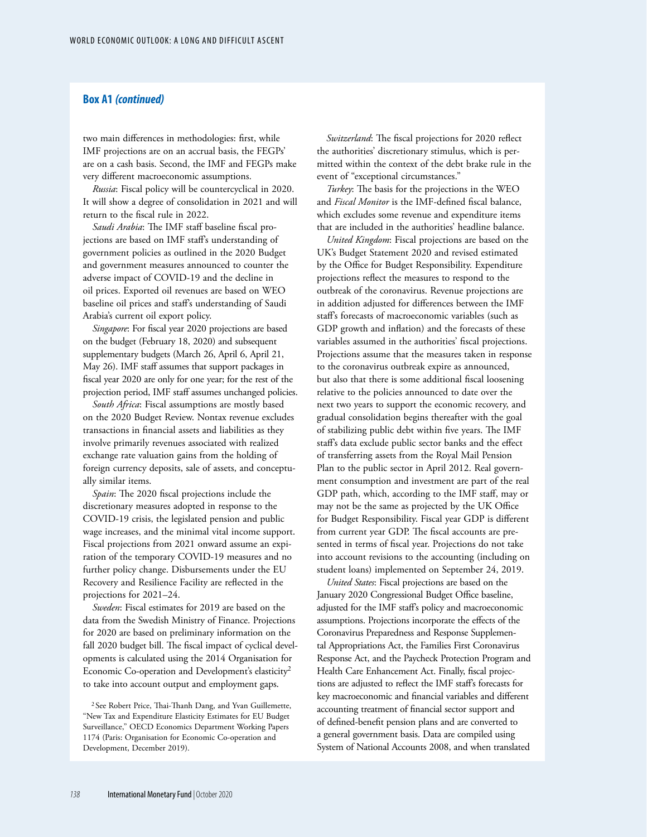### **Box A1** *(continued)*

two main differences in methodologies: first, while IMF projections are on an accrual basis, the FEGPs' are on a cash basis. Second, the IMF and FEGPs make very different macroeconomic assumptions.

*Russia*: Fiscal policy will be countercyclical in 2020. It will show a degree of consolidation in 2021 and will return to the fiscal rule in 2022.

*Saudi Arabia*: The IMF staff baseline fiscal projections are based on IMF staff's understanding of government policies as outlined in the 2020 Budget and government measures announced to counter the adverse impact of COVID-19 and the decline in oil prices. Exported oil revenues are based on WEO baseline oil prices and staff's understanding of Saudi Arabia's current oil export policy.

*Singapore*: For fiscal year 2020 projections are based on the budget (February 18, 2020) and subsequent supplementary budgets (March 26, April 6, April 21, May 26). IMF staff assumes that support packages in fiscal year 2020 are only for one year; for the rest of the projection period, IMF staff assumes unchanged policies.

*South Africa*: Fiscal assumptions are mostly based on the 2020 Budget Review. Nontax revenue excludes transactions in financial assets and liabilities as they involve primarily revenues associated with realized exchange rate valuation gains from the holding of foreign currency deposits, sale of assets, and conceptually similar items.

*Spain*: The 2020 fiscal projections include the discretionary measures adopted in response to the COVID-19 crisis, the legislated pension and public wage increases, and the minimal vital income support. Fiscal projections from 2021 onward assume an expiration of the temporary COVID-19 measures and no further policy change. Disbursements under the EU Recovery and Resilience Facility are reflected in the projections for 2021–24.

*Sweden*: Fiscal estimates for 2019 are based on the data from the Swedish Ministry of Finance. Projections for 2020 are based on preliminary information on the fall 2020 budget bill. The fiscal impact of cyclical developments is calculated using the 2014 Organisation for Economic Co-operation and Development's elasticity<sup>2</sup> to take into account output and employment gaps.

<sup>2</sup> See Robert Price, Thai-Thanh Dang, and Yvan Guillemette, "New Tax and Expenditure Elasticity Estimates for EU Budget Surveillance," OECD Economics Department Working Papers 1174 (Paris: Organisation for Economic Co-operation and Development, December 2019).

*Switzerland*: The fiscal projections for 2020 reflect the authorities' discretionary stimulus, which is permitted within the context of the debt brake rule in the event of "exceptional circumstances."

*Turkey*: The basis for the projections in the WEO and *Fiscal Monitor* is the IMF-defined fiscal balance, which excludes some revenue and expenditure items that are included in the authorities' headline balance.

*United Kingdom*: Fiscal projections are based on the UK's Budget Statement 2020 and revised estimated by the Office for Budget Responsibility. Expenditure projections reflect the measures to respond to the outbreak of the coronavirus. Revenue projections are in addition adjusted for differences between the IMF staff's forecasts of macroeconomic variables (such as GDP growth and inflation) and the forecasts of these variables assumed in the authorities' fiscal projections. Projections assume that the measures taken in response to the coronavirus outbreak expire as announced, but also that there is some additional fiscal loosening relative to the policies announced to date over the next two years to support the economic recovery, and gradual consolidation begins thereafter with the goal of stabilizing public debt within five years. The IMF staff's data exclude public sector banks and the effect of transferring assets from the Royal Mail Pension Plan to the public sector in April 2012. Real government consumption and investment are part of the real GDP path, which, according to the IMF staff, may or may not be the same as projected by the UK Office for Budget Responsibility. Fiscal year GDP is different from current year GDP. The fiscal accounts are presented in terms of fiscal year. Projections do not take into account revisions to the accounting (including on student loans) implemented on September 24, 2019.

*United States*: Fiscal projections are based on the January 2020 Congressional Budget Office baseline, adjusted for the IMF staff's policy and macroeconomic assumptions. Projections incorporate the effects of the Coronavirus Preparedness and Response Supplemental Appropriations Act, the Families First Coronavirus Response Act, and the Paycheck Protection Program and Health Care Enhancement Act. Finally, fiscal projections are adjusted to reflect the IMF staff's forecasts for key macroeconomic and financial variables and different accounting treatment of financial sector support and of defined-benefit pension plans and are converted to a general government basis. Data are compiled using System of National Accounts 2008, and when translated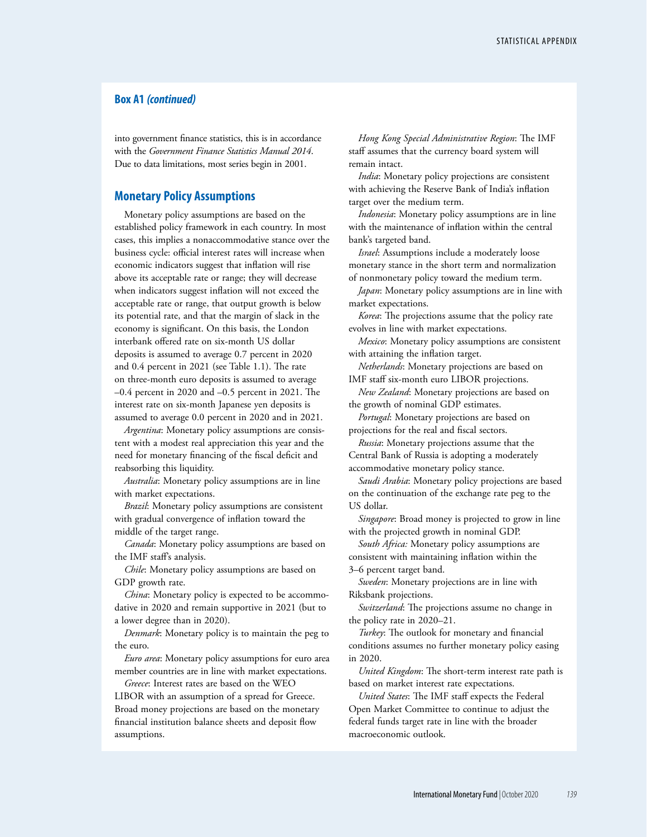### **Box A1** *(continued)*

into government finance statistics, this is in accordance with the *Government Finance Statistics Manual 2014*. Due to data limitations, most series begin in 2001.

### **Monetary Policy Assumptions**

Monetary policy assumptions are based on the established policy framework in each country. In most cases, this implies a nonaccommodative stance over the business cycle: official interest rates will increase when economic indicators suggest that inflation will rise above its acceptable rate or range; they will decrease when indicators suggest inflation will not exceed the acceptable rate or range, that output growth is below its potential rate, and that the margin of slack in the economy is significant. On this basis, the London interbank offered rate on six-month US dollar deposits is assumed to average 0.7 percent in 2020 and 0.4 percent in 2021 (see Table 1.1). The rate on three-month euro deposits is assumed to average –0.4 percent in 2020 and –0.5 percent in 2021. The interest rate on six-month Japanese yen deposits is assumed to average 0.0 percent in 2020 and in 2021.

*Argentina*: Monetary policy assumptions are consistent with a modest real appreciation this year and the need for monetary financing of the fiscal deficit and reabsorbing this liquidity.

*Australia*: Monetary policy assumptions are in line with market expectations.

*Brazil*: Monetary policy assumptions are consistent with gradual convergence of inflation toward the middle of the target range.

*Canada*: Monetary policy assumptions are based on the IMF staff's analysis.

*Chile*: Monetary policy assumptions are based on GDP growth rate.

*China*: Monetary policy is expected to be accommodative in 2020 and remain supportive in 2021 (but to a lower degree than in 2020).

*Denmark*: Monetary policy is to maintain the peg to the euro.

*Euro area*: Monetary policy assumptions for euro area member countries are in line with market expectations.

*Greece*: Interest rates are based on the WEO LIBOR with an assumption of a spread for Greece. Broad money projections are based on the monetary financial institution balance sheets and deposit flow assumptions.

*Hong Kong Special Administrative Region*: The IMF staff assumes that the currency board system will remain intact.

*India*: Monetary policy projections are consistent with achieving the Reserve Bank of India's inflation target over the medium term.

*Indonesia*: Monetary policy assumptions are in line with the maintenance of inflation within the central bank's targeted band.

*Israel*: Assumptions include a moderately loose monetary stance in the short term and normalization of nonmonetary policy toward the medium term.

*Japan*: Monetary policy assumptions are in line with market expectations.

*Korea*: The projections assume that the policy rate evolves in line with market expectations.

*Mexico*: Monetary policy assumptions are consistent with attaining the inflation target.

*Netherlands*: Monetary projections are based on IMF staff six-month euro LIBOR projections.

*New Zealand*: Monetary projections are based on the growth of nominal GDP estimates.

*Portugal*: Monetary projections are based on projections for the real and fiscal sectors.

*Russia*: Monetary projections assume that the Central Bank of Russia is adopting a moderately accommodative monetary policy stance.

*Saudi Arabia*: Monetary policy projections are based on the continuation of the exchange rate peg to the US dollar.

*Singapore*: Broad money is projected to grow in line with the projected growth in nominal GDP.

*South Africa:* Monetary policy assumptions are consistent with maintaining inflation within the 3–6 percent target band.

*Sweden*: Monetary projections are in line with Riksbank projections.

*Switzerland*: The projections assume no change in the policy rate in 2020–21.

*Turkey*: The outlook for monetary and financial conditions assumes no further monetary policy easing in 2020.

*United Kingdom*: The short-term interest rate path is based on market interest rate expectations.

*United States*: The IMF staff expects the Federal Open Market Committee to continue to adjust the federal funds target rate in line with the broader macroeconomic outlook.